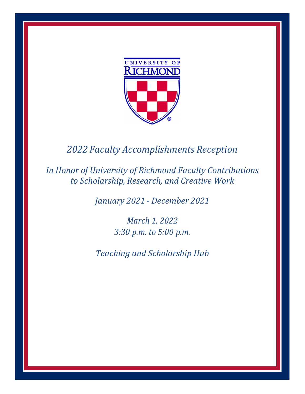

# 2022 Faculty Accomplishments Reception

In Honor of University of Richmond Faculty Contributions to Scholarship, Research, and Creative Work

January 2021 - December 2021

March 1, 2022 3:30 p.m. to 5:00 p.m.

Teaching and Scholarship Hub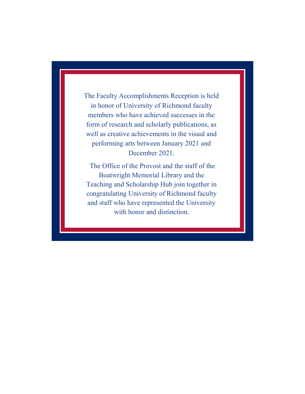The Faculty Accomplishments Reception is held in honor of University of Richmond faculty members who have achieved successes in the form of research and scholarly publications, as well as creative achievements in the visual and performing arts between January 2021 and December 2021.

The Office of the Provost and the staff of the Boatwright Memorial Library and the Teaching and Scholarship Hub join together in congratulating University of Richmond faculty and staff who have represented the University with honor and distinction.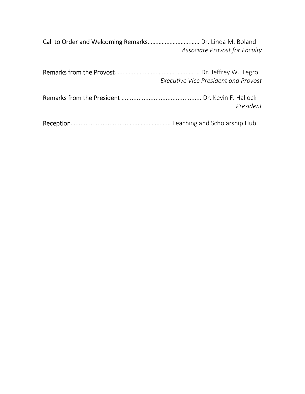Call to Order and Welcoming Remarks…………………………… Dr. Linda M. Boland Associate Provost for Faculty

|  | <b>Executive Vice President and Provost</b> |
|--|---------------------------------------------|
|  | President                                   |
|  |                                             |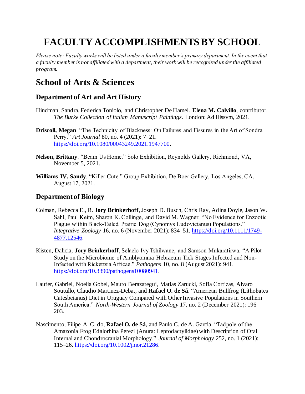# **FACULTY ACCOMPLISHMENTS BY SCHOOL**

*Please note: Faculty works will be listed under a faculty member's primary department. In the event that a faculty member is not affiliated with a department, their work will be recognized under the affiliated program.* 

## **School of Arts & Sciences**

## **Department of Art and Art History**

- Hindman, Sandra, Federica Toniolo, and Christopher De Hamel. **Elena M. Calvillo**, contributor. *The Burke Collection of Italian Manuscript Paintings*. London: Ad Ilissvm, 2021.
- **Driscoll, Megan**. "The Technicity of Blackness: On Failures and Fissures in the Art of Sondra Perry." *Art Journal* 80, no. 4 (2021): 7–21. https://doi.org/10.1080/00043249.2021.1947700.
- **Nelson, Brittany**. "Beam Us Home." Solo Exhibition, Reynolds Gallery, Richmond, VA, November 5, 2021.
- **Williams IV, Sandy**. "Killer Cute." Group Exhibition, De Boer Gallery, Los Angeles, CA, August 17, 2021.

## **Department of Biology**

- Colman, Rebecca E., R. **Jory Brinkerhoff**, Joseph D. Busch, Chris Ray, Adina Doyle, Jason W. Sahl, Paul Keim, Sharon K. Collinge, and David M. Wagner. "No Evidence for Enzootic Plague within Black-Tailed Prairie Dog (Cynomys Ludovicianus) Populations." *Integrative Zoology* 16, no. 6 (November 2021): 834–51. https://doi.org/10.1111/1749- 4877.12546.
- Kisten, Dalicia, **Jory Brinkerhoff**, Selaelo Ivy Tshilwane, and Samson Mukaratirwa. "A Pilot Study on the Microbiome of Amblyomma Hebraeum Tick Stages Infected and Non-Infected with Rickettsia Africae." *Pathogens* 10, no. 8 (August 2021): 941. https://doi.org/10.3390/pathogens10080941.
- Laufer, Gabriel, Noelia Gobel, Mauro Berazategui, Matias Zarucki, Sofia Cortizas, Alvaro Soutullo, Claudio Martinez-Debat, and **Rafael O. de Sá**. "American Bullfrog (Lithobates Catesbeianus) Diet in Uruguay Compared with Other Invasive Populations in Southern South America." *North-Western Journal of Zoology* 17, no. 2 (December 2021): 196– 203.
- Nascimento, Filipe A. C. do, **Rafael O. de Sá**, and Paulo C. de A. Garcia. "Tadpole of the Amazonia Frog Edalorhina Perezi (Anura: Leptodactylidae) with Description of Oral Internal and Chondrocranial Morphology." *Journal of Morphology* 252, no. 1 (2021): 115–26. https://doi.org/10.1002/jmor.21286.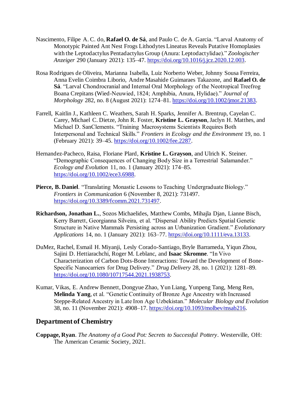- Nascimento, Filipe A. C. do, **Rafael O. de Sá**, and Paulo C. de A. Garcia. "Larval Anatomy of Monotypic Painted Ant Nest Frogs Lithodytes Lineatus Reveals Putative Homoplasies with the Leptodactylus Pentadactylus Group (Anura: Leptodactylidae)." *Zoologischer Anzeiger* 290 (January 2021): 135–47. https://doi.org/10.1016/j.jcz.2020.12.003.
- Rosa Rodrigues de Oliveira, Marianna Isabella, Luiz Norberto Weber, Johnny Sousa Ferreira, Anna Evelin Coimbra Liborio, Andre Masahide Guimaraes Takazone, and **Rafael O. de Sá**. "Larval Chondrocranial and Internal Oral Morphology of the Neotropical Treefrog Boana Crepitans (Wied-Neuwied, 1824; Amphibia, Anura, Hylidae)." *Journal of Morphology* 282, no. 8 (August 2021): 1274–81. https://doi.org/10.1002/jmor.21383.
- Farrell, Kaitlin J., Kathleen C. Weathers, Sarah H. Sparks, Jennifer A. Brentrup, Cayelan C. Carey, Michael C. Dietze, John R. Foster, **Kristine L. Grayson**, Jaclyn H. Matthes, and Michael D. SanClements. "Training Macrosystems Scientists Requires Both Interpersonal and Technical Skills." *Frontiers in Ecology and the Environment* 19, no. 1 (February 2021): 39–45. https://doi.org/10.1002/fee.2287.
- Hernandez-Pacheco, Raisa, Floriane Plard, **Kristine L. Grayson**, and Ulrich K. Steiner. "Demographic Consequences of Changing Body Size in a Terrestrial Salamander." *Ecology and Evolution* 11, no. 1 (January 2021): 174–85. https://doi.org/10.1002/ece3.6988.
- **Pierce, B. Daniel**. "Translating Monastic Lessons to Teaching Undergraduate Biology." *Frontiers in Communication* 6 (November 8, 2021): 731497. https://doi.org/10.3389/fcomm.2021.731497.
- **Richardson, Jonathan L.**, Sozos Michaelides, Matthew Combs, Mihajla Djan, Lianne Bisch, Kerry Barrett, Georgianna Silveira, et al. "Dispersal Ability Predicts Spatial Genetic Structure in Native Mammals Persisting across an Urbanization Gradient." *Evolutionary Applications* 14, no. 1 (January 2021): 163–77. https://doi.org/10.1111/eva.13133.
- DuMez, Rachel, Esmail H. Miyanji, Lesly Corado-Santiago, Bryle Barrameda, Yiqun Zhou, Sajini D. Hettiarachchi, Roger M. Leblanc, and **Isaac Skromne**. "In Vivo Characterization of Carbon Dots-Bone Interactions: Toward the Development of Bone-Specific Nanocarriers for Drug Delivery." *Drug Delivery* 28, no. 1 (2021): 1281–89. https://doi.org/10.1080/10717544.2021.1938753.
- Kumar, Vikas, E. Andrew Bennett, Dongyue Zhao, Yun Liang, Yunpeng Tang, Meng Ren, **Melinda Yang**, et al. "Genetic Continuity of Bronze Age Ancestry with Increased Steppe-Related Ancestry in Late Iron Age Uzbekistan." *Molecular Biology and Evolution* 38, no. 11 (November 2021): 4908–17. https://doi.org/10.1093/molbev/msab216.

## **Department of Chemistry**

**Coppage, Ryan**. *The Anatomy of a Good Pot: Secrets to Successful Pottery*. Westerville, OH: The American Ceramic Society, 2021.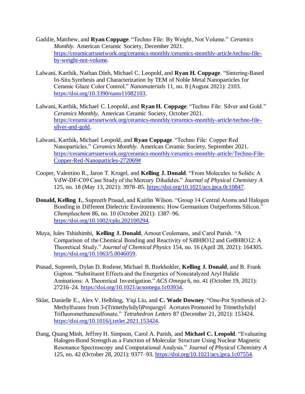- Gaddie, Matthew, and **Ryan Coppage**. "Techno File: By Weight, Not Volume." *Ceramics Monthly*. American Ceramic Society, December 2021. https://ceramicartsnetwork.org/ceramics-monthly/ceramics-monthly-article/techno-fileby-weight-not-volume.
- Lalwani, Karthik, Nathan Dinh, Michael C. Leopold, and **Ryan H. Coppage**. "Sintering-Based In-Situ Synthesis and Characterization by TEM of Noble Metal Nanoparticles for Ceramic Glaze Color Control." *Nanomaterials* 11, no. 8 (August 2021): 2103. https://doi.org/10.3390/nano11082103.
- Lalwani, Karthik, Michael C. Leopold, and **Ryan H. Coppage**. "Techno File: Silver and Gold." *Ceramics Monthly*, American Ceramic Society, October 2021. https://ceramicartsnetwork.org/ceramics-monthly/ceramics-monthly-article/techno-filesilver-and-gold.
- Lalwani, Karthik, Michael Leopold, and **Ryan Coppage**. "Techno File: Copper Red Nanoparticles." *Ceramics Monthly*. American Ceramic Society, September 2021. https://ceramicartsnetwork.org/ceramics-monthly/ceramics-monthly-article/Techno-File-Copper-Red-Nanoparticles-272069#
- Cooper, Valentino R., Jaron T. Krogel, and **Kelling J. Donald**. "From Molecules to Solids: A VdW-DF-C09 Case Study of the Mercury Dihalides." *Journal of Physical Chemistry A* 125, no. 18 (May 13, 2021): 3978–85. https://doi.org/10.1021/acs.jpca.0c10847.
- **Donald, Kelling J.**, Supreeth Prasad, and Kaitlin Wilson. "Group 14 Central Atoms and Halogen Bonding in Different Dielectric Environments: How Germanium Outperforms Silicon." *Chempluschem* 86, no. 10 (October 2021): 1387–96. https://doi.org/10.1002/cplu.202100294.
- Muya, Jules Tshishimbi, **Kelling J. Donald**, Arnout Ceulemans, and Carol Parish. "A Comparison of the Chemical Bonding and Reactivity of Si8H8O12 and Ge8H8O12: A Theoretical Study." *Journal of Chemical Physics* 154, no. 16 (April 28, 2021): 164305. https://doi.org/10.1063/5.0046059.
- Prasad, Supreeth, Dylan D. Rodene, Michael B. Burkholder, **Kelling J. Donald**, and B. Frank Gupton. "Substituent Effects and the Energetics of Noncatalyzed Aryl Halide Aminations: A Theoretical Investigation." *ACS Omega* 6, no. 41 (October 19, 2021): 27216–24. https://doi.org/10.1021/acsomega.1c03934.
- Sklar, Danielle E., Alex V. Helbling, Yiqi Liu, and **C. Wade Downey**. "One-Pot Synthesis of 2- Methylfurans from 3-(Trimethylsilyl)Propargyl Acetates Promoted by Trimethylsilyl Trifluoromethanesulfonate." *Tetrahedron Letters* 87 (December 21, 2021): 153424. https://doi.org/10.1016/j.tetlet.2021.153424.
- Dang, Quang Minh, Jeffrey H. Simpson, Carol A. Parish, and **Michael C. Leopold**. "Evaluating Halogen-Bond Strength as a Function of Molecular Structure Using Nuclear Magnetic Resonance Spectroscopy and Computational Analysis." *Journal of Physical Chemistry A* 125, no. 42 (October 28, 2021): 9377–93. https://doi.org/10.1021/acs.jpca.1c07554.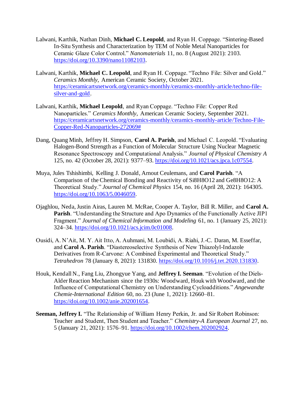- Lalwani, Karthik, Nathan Dinh, **Michael C. Leopold**, and Ryan H. Coppage. "Sintering-Based In-Situ Synthesis and Characterization by TEM of Noble Metal Nanoparticles for Ceramic Glaze Color Control." *Nanomaterials* 11, no. 8 (August 2021): 2103. https://doi.org/10.3390/nano11082103.
- Lalwani, Karthik, **Michael C. Leopold**, and Ryan H. Coppage. "Techno File: Silver and Gold." *Ceramics Monthly*, American Ceramic Society, October 2021. https://ceramicartsnetwork.org/ceramics-monthly/ceramics-monthly-article/techno-filesilver-and-gold.
- Lalwani, Karthik, **Michael Leopold**, and Ryan Coppage. "Techno File: Copper Red Nanoparticles." *Ceramics Monthly*, American Ceramic Society, September 2021. https://ceramicartsnetwork.org/ceramics-monthly/ceramics-monthly-article/Techno-File-Copper-Red-Nanoparticles-272069#
- Dang, Quang Minh, Jeffrey H. Simpson, **Carol A. Parish**, and Michael C. Leopold. "Evaluating Halogen-Bond Strength as a Function of Molecular Structure Using Nuclear Magnetic Resonance Spectroscopy and Computational Analysis." *Journal of Physical Chemistry A* 125, no. 42 (October 28, 2021): 9377–93. https://doi.org/10.1021/acs.jpca.1c07554.
- Muya, Jules Tshishimbi, Kelling J. Donald, Arnout Ceulemans, and **Carol Parish**. "A Comparison of the Chemical Bonding and Reactivity of Si8H8O12 and Ge8H8O12: A Theoretical Study." *Journal of Chemical Physics* 154, no. 16 (April 28, 2021): 164305. https://doi.org/10.1063/5.0046059.
- Ojaghlou, Neda, Justin Airas, Lauren M. McRae, Cooper A. Taylor, Bill R. Miller, and **Carol A. Parish**. "Understanding the Structure and Apo Dynamics of the Functionally Active JIP1 Fragment." *Journal of Chemical Information and Modeling* 61, no. 1 (January 25, 2021): 324–34. https://doi.org/10.1021/acs.jcim.0c01008.
- Ousidi, A. N'Ait, M. Y. Ait Itto, A. Auhmani, M. Loubidi, A. Riahi, J.-C. Daran, M. Esseffar, and **Carol A. Parish**. "Diastereoselective Synthesis of New Thiazolyl-Indazole Derivatives from R-Carvone: A Combined Experimental and Theoretical Study." *Tetrahedron* 78 (January 8, 2021): 131830. https://doi.org/10.1016/j.tet.2020.131830.
- Houk, Kendall N., Fang Liu, Zhongyue Yang, and **Jeffrey I. Seeman**. "Evolution of the Diels-Alder Reaction Mechanism since the 1930s: Woodward, Houk with Woodward, and the Influence of Computational Chemistry on Understanding Cycloadditions." *Angewandte Chemie-International Edition* 60, no. 23 (June 1, 2021): 12660–81. https://doi.org/10.1002/anie.202001654.
- **Seeman, Jeffrey I.** "The Relationship of William Henry Perkin, Jr. and Sir Robert Robinson: Teacher and Student, Then Student and Teacher." *Chemistry-A European Journal* 27, no. 5 (January 21, 2021): 1576–91. https://doi.org/10.1002/chem.202002924.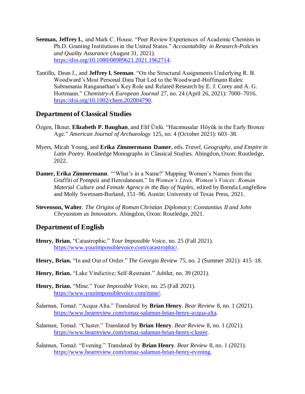- **Seeman, Jeffrey I.**, and Mark C. House. "Peer Review Experiences of Academic Chemists in Ph.D. Granting Institutions in the United States." *Accountability in Research-Policies and Quality Assurance* (August 31, 2021). https://doi.org/10.1080/08989621.2021.1962714.
- Tantillo, Dean J., and **Jeffrey I. Seeman**. "On the Structural Assignments Underlying R. B. Woodward's Most Personal Data That Led to the Woodward-Hoffmann Rules: Subramania Ranganathan's Key Role and Related Research by E. J. Corey and A. G. Hortmann." *Chemistry-A European Journal* 27, no. 24 (April 26, 2021): 7000–7016. https://doi.org/10.1002/chem.202004790.

### **Department of Classical Studies**

- Özgen, İlknur, **Elizabeth P. Baughan**, and Elif Ünlü. "Hacımusalar Höyük in the Early Bronze Age." *American Journal of Archaeology* 125, no. 4 (October 2021): 603–38.
- Myers, Micah Young, and **Erika Zimmermann Damer**, eds. *Travel, Geography, and Empire in Latin Poetry*. Routledge Monographs in Classical Studies. Abingdon, Oxon: Routledge, 2022.
- **Damer, Erika Zimmermann**. "'What's in a Name?' Mapping Women's Names from the Graffiti of Pompeii and Herculaneum." In *Women's Lives, Women's Voices: Roman Material Culture and Female Agency in the Bay of Naples*, edited by Brenda Longfellow and Molly Swetnam-Burland, 151–96. Austin: University of Texas Press, 2021.
- **Stevenson, Walter**. *The Origins of Roman Christian Diplomacy: Constantius II and John Chrysostom as Innovators*. Abingdon, Oxon: Routledge, 2021.

## **Department of English**

- **Henry, Brian.** "Catastrophic." *Your Impossible Voice*, no. 25 (Fall 2021). https://www.yourimpossiblevoice.com/catastrophic/.
- **Henry, Brian.** "In and Out of Order." *The Georgia Review* 75, no. 2 (Summer 2021): 415–18.
- **Henry, Brian.** "Lake Vindictive; Self-Restraint." *Jubilat*, no. 39 (2021).
- **Henry, Brian.** "Mine." *Your Impossible Voice*, no. 25 (Fall 2021). https://www.yourimpossiblevoice.com/mine/.
- Šalamun, Tomaž. "Acqua Alta." Translated by **Brian Henry**. *Bear Review* 8, no. 1 (2021). https://www.bearreview.com/tomaz-salamun-brian-henry-acqua-alta.
- Šalamun, Tomaž. "Cluster." Translated by **Brian Henry**. *Bear Review* 8, no. 1 (2021). https://www.bearreview.com/tomaz-salamun-brian-henry-cluster.
- Šalamun, Tomaž. "Evening." Translated by **Brian Henry**. *Bear Review* 8, no. 1 (2021). https://www.bearreview.com/tomaz-salamun-brian-henry-evening.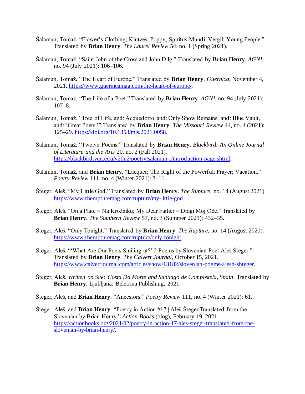- Šalamun, Tomaž. "Flower's Clothing; Klutzes; Poppy; Spiritus Mundi; Vergil; Young People." Translated by **Brian Henry**. *The Laurel Review* 54, no. 1 (Spring 2021).
- Šalamun, Tomaž. "Saint John of the Cross and John Dilg." Translated by **Brian Henry**. *AGNI*, no. 94 (July 2021): 106–106.
- Šalamun, Tomaž. "The Heart of Europe." Translated by **Brian Henry**. *Guernica*, November 4, 2021. https://www.guernicamag.com/the-heart-of-europe/.
- Šalamun, Tomaž. "The Life of a Poet." Translated by **Brian Henry**. *AGNI*, no. 94 (July 2021): 107–8.
- Šalamun, Tomaž. "Tree of Life, and: Acquedotto, and: Only Snow Remains, and: Blue Vault, and: 'Great Poets.'" Translated by **Brian Henry**. *The Missouri Review* 44, no. 4 (2021): 125–29. https://doi.org/10.1353/mis.2021.0058.
- Šalamun, Tomaž. "Twelve Poems." Translated by **Brian Henry**. *Blackbird: An Online Journal of Literature and the Arts* 20, no. 2 (Fall 2021). https://blackbird.vcu.edu/v20n2/poetry/salamun-t/introduction-page.shtml.
- Šalamun, Tomaž, and **Brian Henry**. "Lacquer; The Right of the Powerful; Prayer; Vacation." *Poetry Review* 111, no. 4 (Winter 2021): 8–11.
- Šteger, Aleš. "My Little God." Translated by **Brian Henry**. *The Rupture*, no. 14 (August 2021). https://www.therupturemag.com/rupture/my-little-god.
- Šteger, Aleš. "On a Plate = Na Krožniku; My Dear Father = Dragi Moj Oče." Translated by **Brian Henry**. *The Southern Review* 57, no. 3 (Summer 2021): 432–35.
- Šteger, Aleš. "Only Tonight." Translated by **Brian Henry**. *The Rupture*, no. 14 (August 2021). https://www.therupturemag.com/rupture/only-tonight.
- Šteger, Aleš. "'What Are Our Poets Smiling at?' 2 Poems by Slovenian Poet Aleš Šteger." Translated by **Brian Henry**. *The Calvert Journal*, October 15, 2021. https://www.calvertjournal.com/articles/show/13182/slovenian-poems-alesh-shteger.
- Šteger, Aleš. *Written on Site: Costa Da Morte and Santiago de Compostela, Spain*. Translated by **Brian Henry**. Ljubljana: Beletrina Publishing, 2021.
- Šteger, Aleš, and **Brian Henry**. "Ancestors." *Poetry Review* 111, no. 4 (Winter 2021): 61.
- Šteger, Aleš, and **Brian Henry**. "Poetry in Action #17 | Aleš Šteger Translated from the Slovenian by Brian Henry." *Action Books* (blog), February 19, 2021. https://actionbooks.org/2021/02/poetry-in-action-17-ales-steger-translated-from-theslovenian-by-brian-henry/.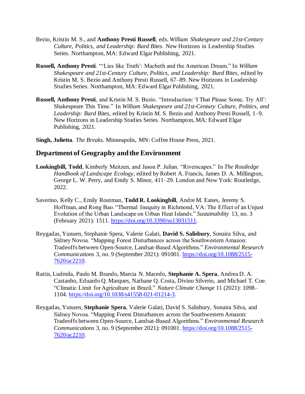- Bezio, Kristin M. S., and **Anthony Presti Russell**, eds. *William Shakespeare and 21st-Century Culture, Politics, and Leadership: Bard Bites*. New Horizons in Leadership Studies Series. Northampton, MA: Edward Elgar Publishing, 2021.
- **Russell, Anthony Presti**. "'Lies like Truth': Macbeth and the American Dream." In *William Shakespeare and 21st-Century Culture, Politics, and Leadership: Bard Bites*, edited by Kristin M. S. Bezio and Anthony Presti Russell, 67–89. New Horizons in Leadership Studies Series. Northampton, MA: Edward Elgar Publishing, 2021.
- **Russell, Anthony Presti**, and Kristin M. S. Bezio. "Introduction: 'I That Please Some, Try All': Shakespeare This Time." In *William Shakespeare and 21st-Century Culture, Politics, and Leadership: Bard Bites*, edited by Kristin M. S. Bezio and Anthony Presti Russell, 1–9. New Horizons in Leadership Studies Series. Northampton, MA: Edward Elgar Publishing, 2021.
- **Singh, Julietta**. *The Breaks*. Minneapolis, MN: Coffee House Press, 2021.

## **Department of Geography and the Environment**

- **Lookingbill, Todd**, Kimberly Meitzen, and Jason P. Julian. "Riverscapes." In *The Routledge Handbook of Landscape Ecology*, edited by Robert A. Francis, James D. A. Millington, George L. W. Perry, and Emily S. Minor, 411–29. London and New York: Routledge, 2022.
- Saverino, Kelly C., Emily Routman, **Todd R. Lookingbill**, Andre M. Eanes, Jeremy S. Hoffman, and Rong Bao. "Thermal Inequity in Richmond, VA: The Effect of an Unjust Evolution of the Urban Landscape on Urban Heat Islands." *Sustainability* 13, no. 3 (February 2021): 1511. https://doi.org/10.3390/su13031511.
- Reygadas, Yunuen, Stephanie Spera, Valerie Galati, **David S. Salisbury**, Sonaira Silva, and Sidney Novoa. "Mapping Forest Disturbances across the Southwestern Amazon: Tradeoffs between Open-Source, Landsat-Based Algorithms." *Environmental Research Communications* 3, no. 9 (September 2021): 091001. https://doi.org/10.1088/2515- 7620/ac2210.
- Rattis, Ludmila, Paulo M. Brando, Marcia N. Macedo, **Stephanie A. Spera**, Andrea D. A. Castanho, Eduardo Q. Marques, Nathane Q. Costa, Divino Silverio, and Michael T. Coe. "Climatic Limit for Agriculture in Brazil." *Nature Climate Change* 11 (2021): 1098– 1104. https://doi.org/10.1038/s41558-021-01214-3.
- Reygadas, Yunuen, **Stephanie Spera**, Valerie Galati, David S. Salisbury, Sonaira Silva, and Sidney Novoa. "Mapping Forest Disturbances across the Southwestern Amazon: Tradeoffs between Open-Source, Landsat-Based Algorithms." *Environmental Research Communications* 3, no. 9 (September 2021): 091001. https://doi.org/10.1088/2515- 7620/ac2210.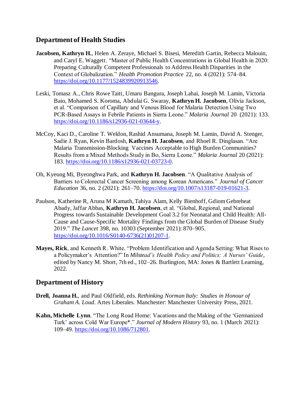## **Department of Health Studies**

- **Jacobsen, Kathryn H.**, Helen A. Zeraye, Michael S. Bisesi, Meredith Gartin, Rebecca Malouin, and Caryl E. Waggett. "Master of Public Health Concentrations in Global Health in 2020: Preparing Culturally Competent Professionals to Address Health Disparities in the Context of Globalization." *Health Promotion Practice* 22, no. 4 (2021): 574–84. https://doi.org/10.1177/1524839920913546.
- Leski, Tomasz A., Chris Rowe Taitt, Umaru Bangura, Joseph Lahai, Joseph M. Lamin, Victoria Baio, Mohamed S. Koroma, Abdulai G. Swaray, **Kathryn H. Jacobsen**, Olivia Jackson, et al. "Comparison of Capillary and Venous Blood for Malaria Detection Using Two PCR-Based Assays in Febrile Patients in Sierra Leone." *Malaria Journal* 20 (2021): 133. https://doi.org/10.1186/s12936-021-03644-y.
- McCoy, Kaci D., Caroline T. Weldon, Rashid Ansumana, Joseph M. Lamin, David A. Stenger, Sadie J. Ryan, Kevin Bardosh, **Kathryn H. Jacobsen**, and Rhoel R. Dinglasan. "Are Malaria Transmission-Blocking Vaccines Acceptable to High Burden Communities? Results from a Mixed Methods Study in Bo, Sierra Leone." *Malaria Journal* 20 (2021): 183. https://doi.org/10.1186/s12936-021-03723-0.
- Oh, Kyeung Mi, Byeonghwa Park, and **Kathryn H. Jacobsen**. "A Qualitative Analysis of Barriers to Colorectal Cancer Screening among Korean Americans." *Journal of Cancer Education* 36, no. 2 (2021): 261–70. https://doi.org/10.1007/s13187-019-01621-3.
- Paulson, Katherine R, Aruna M Kamath, Tahiya Alam, Kelly Bienhoff, Gdiom Gebreheat Abady, Jaffar Abbas, **Kathryn H. Jacobsen**, et al. "Global, Regional, and National Progress towards Sustainable Development Goal 3.2 for Neonatal and Child Health: All-Cause and Cause-Specific Mortality Findings from the Global Burden of Disease Study 2019." *The Lancet* 398, no. 10303 (September 2021): 870–905. https://doi.org/10.1016/S0140-6736(21)01207-1.
- **Mayes, Rick**, and Kenneth R. White. "Problem Identification and Agenda Setting: What Rises to a Policymaker's Attention?" In *Milstead's Health Policy and Politics: A Nurses' Guide*, edited by Nancy M. Short, 7th ed., 102–26. Burlington, MA: Jones & Bartlett Learning, 2022.

## **Department of History**

- **Drell, Joanna H.**, and Paul Oldfield, eds. *Rethinking Norman Italy: Studies in Honour of Graham A. Loud*. Artes Liberales. Manchester: Manchester University Press, 2021.
- **Kahn, Michelle Lynn**. "The Long Road Home: Vacations and the Making of the 'Germanized Turk' across Cold War Europe\*." *Journal of Modern History* 93, no. 1 (March 2021): 109–49. https://doi.org/10.1086/712801.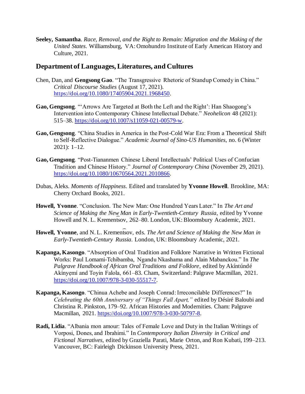**Seeley, Samantha**. *Race, Removal, and the Right to Remain: Migration and the Making of the United States*. Williamsburg, VA: Omohundro Institute of Early American History and Culture, 2021.

## **Department of Languages, Literatures, and Cultures**

- Chen, Dan, and **Gengsong Gao**. "The Transgressive Rhetoric of Standup Comedy in China." *Critical Discourse Studies* (August 17, 2021). https://doi.org/10.1080/17405904.2021.1968450.
- **Gao, Gengsong**. "'Arrows Are Targeted at Both the Left and the Right': Han Shaogong's Intervention into Contemporary Chinese Intellectual Debate." *Neohelicon* 48 (2021): 515–38. https://doi.org/10.1007/s11059-021-00579-w.
- **Gao, Gengsong**. "China Studies in America in the Post-Cold War Era: From a Theoretical Shift to Self-Reflective Dialogue." *Academic Journal of Sino-US Humanities*, no. 6 (Winter 2021): 1–12.
- **Gao, Gengsong**. "Post-Tiananmen Chinese Liberal Intellectuals' Political Uses of Confucian Tradition and Chinese History." *Journal of Contemporary China* (November 29, 2021). https://doi.org/10.1080/10670564.2021.2010866.
- Dubas, Aleks. *Moments of Happiness*. Edited and translated by **Yvonne Howell**. Brookline, MA: Cherry Orchard Books, 2021.
- **Howell, Yvonne**. "Conclusion. The New Man: One Hundred Years Later." In *The Art and Science of Making the New Man in Early-Twentieth-Century Russia*, edited by Yvonne Howell and N. L. Krementsov, 262–80. London, UK: Bloomsbury Academic, 2021.
- Howell, Yvonne, and N.L. Krementsov, eds. *The Art and Science of Making the New Man in Early-Twentieth-Century Russia*. London, UK: Bloomsbury Academic, 2021.
- **Kapanga, Kasongo**. "Absorption of Oral Tradition and Folklore Narrative in Written Fictional Works: Paul Lomami-Tchibamba, Ngandu Nkashama and Alain Mabanckou." In *The Palgrave Handbook of African Oral Traditions and Folklore*, edited by Akíntúndé Akínyẹmí and Toyin Falola, 661–83. Cham, Switzerland: Palgrave Macmillan, 2021. https://doi.org/10.1007/978-3-030-55517-7.
- **Kapanga, Kasongo**. "Chinua Achebe and Joseph Conrad: Irreconcilable Differences?" In *Celebrating the 60th Anniversary of "Things Fall Apart,"* edited by Désiré Baloubi and Christina R. Pinkston, 179–92. African Histories and Modernities. Cham: Palgrave Macmillan, 2021. https://doi.org/10.1007/978-3-030-50797-8.
- **Radi, Lidia**. "Albania mon amour: Tales of Female Love and Duty in the Italian Writings of Vorposi, Dones, and Ibrahimi." In *Contemporary Italian Diversity in Critical and Fictional Narratives*, edited by Graziella Parati, Marie Orton, and Ron Kubati, 199–213. Vancouver, BC: Fairleigh Dickinson University Press, 2021.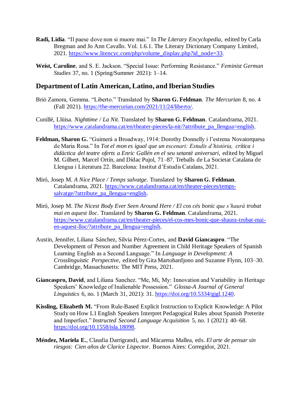- **Radi, Lidia**. "Il paese dove non si muore mai." In *The Literary Encyclopedia*, edited by Carla Bregman and Jo Ann Cavallo. Vol. 1.6.1. The Literary Dictionary Company Limited, 2021. https://www.litencyc.com/php/volume\_display.php?id\_node=33.
- **Weist, Caroline**, and S. E. Jackson. "Special Issue: Performing Resistance." *Feminist German Studies* 37, no. 1 (Spring/Summer 2021): 1–14.

#### **Department of Latin American, Latino, and Iberian Studies**

- Brió Zamora, Gemma. "Liberto." Translated by **Sharon G. Feldman**. *The Mercurian* 8, no. 4 (Fall 2021). https://the-mercurian.com/2021/11/24/liberto/.
- Cunillé, Llüisa. *Nighttime / La Nit*. Translated by **Sharon G. Feldman**. Catalandrama, 2021. https://www.catalandrama.cat/en/theater-pieces/la-nit/?attribute\_pa\_llengua=english.
- **Feldman, Sharon G.** "Guimerà a Broadway, 1914: Dorothy Donnelly i l'estrena Novaiorquesa de Maria Rosa." In *Tot el mon es igual que un escenari: Estudis d'història, crítica i didàctica del teatre oferts a Enric Gallén en el seu setantè aniversari*, edited by Miguel M. Gilbert, Marcel Ortín, and Dídac Pujol, 71–87. Treballs de La Societat Catalana de Llengua i Literatura 22. Barcelona: Institut d'Estudis Catalans, 2021.
- Miró, Josep M. *A Nice Place / Temps salvatge*. Translated by **Sharon G. Feldman**. Catalandrama, 2021. https://www.catalandrama.cat/en/theater-pieces/tempssalvatge/?attribute\_pa\_llengua=english.
- Miró, Josep M. *The Nicest Body Ever Seen Around Here / El cos cés bonic que s'haurà trobat mai en aquest lloc*. Translated by **Sharon G. Feldman**. Catalandrama, 2021. https://www.catalandrama.cat/en/theater-pieces/el-cos-mes-bonic-que-shaura-trobat-maien-aquest-lloc/?attribute\_pa\_llengua=english.
- Austin, Jennifer, Liliana Sánchez, Silvia Pérez-Cortes, and **David Giancaspro**. "The Development of Person and Number Agreement in Child Heritage Speakers of Spanish Learning English as a Second Language." In *Language in Development: A Crosslinguistic Perspective*, edited by Gita Martohardjono and Suzanne Flynn, 103–30. Cambridge, Massachusetts: The MIT Press, 2021.
- **Giancaspro, David**, and Liliana Sanchez. "Me, Mi, My: Innovation and Variability in Heritage Speakers' Knowledge of Inalienable Possession." *Glossa-A Journal of General Linguistics* 6, no. 1 (March 31, 2021): 31. https://doi.org/10.5334/gjgl.1240.
- **Kissling, Elizabeth M.** "From Rule-Based Explicit Instruction to Explicit Knowledge: A Pilot Study on How L1 English Speakers Interpret Pedagogical Rules about Spanish Preterite and Imperfect." *Instructed Second Language Acquisition* 5, no. 1 (2021): 40–68. https://doi.org/10.1558/isla.18098.
- **Méndez, Mariela E.**, Claudia Darrigrandi, and Màcarena Mallea, eds. *El arte de pensar sin riesgos: Cien años de Clarice Lispector*. Buenos Aires: Corregidor, 2021.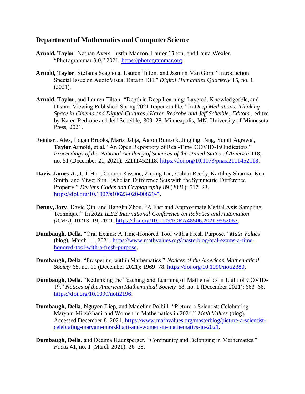## **Department of Mathematics and Computer Science**

- **Arnold, Taylor**, Nathan Ayers, Justin Madron, Lauren Tilton, and Laura Wexler. "Photogrammar 3.0," 2021. https://photogrammar.org.
- **Arnold, Taylor**, Stefania Scagliola, Lauren Tilton, and Jasmijn Van Gorp. "Introduction: Special Issue on AudioVisual Data in DH." *Digital Humanities Quarterly* 15, no. 1 (2021).
- **Arnold, Taylor**, and Lauren Tilton. "Depth in Deep Learning: Layered, Knowledgeable, and Distant Viewing Published Spring 2021 Impenetrable." In *Deep Mediations: Thinking Space in Cinema and Digital Cultures / Karen Redrobe and Jeff Scheible, Editors.*, edited by Karen Redrobe and Jeff Scheible, 309–28. Minneapolis, MN: University of Minnesota Press, 2021.
- Reinhart, Alex, Logan Brooks, Maria Jahja, Aaron Rumack, Jingjing Tang, Sumit Agrawal, **Taylor Arnold**, et al. "An Open Repository of Real-Time COVID-19 Indicators." *Proceedings of the National Academy of Sciences of the United States of America* 118, no. 51 (December 21, 2021): e2111452118. https://doi.org/10.1073/pnas.2111452118.
- **Davis, James A.**, J. J. Hoo, Connor Kissane, Ziming Liu, Calvin Reedy, Kartikey Sharma, Ken Smith, and Yiwei Sun. "Abelian Difference Sets with the Symmetric Difference Property." *Designs Codes and Cryptography* 89 (2021): 517–23. https://doi.org/10.1007/s10623-020-00829-5.
- **Denny, Jory**, David Qin, and Hanglin Zhou. "A Fast and Approximate Medial Axis Sampling Technique." In *2021 IEEE International Conference on Robotics and Automation (ICRA)*, 10213–19, 2021. https://doi.org/10.1109/ICRA48506.2021.9562067.
- **Dumbaugh, Della**. "Oral Exams: A Time-Honored Tool with a Fresh Purpose." *Math Values* (blog), March 11, 2021. https://www.mathvalues.org/masterblog/oral-exams-a-timehonored-tool-with-a-fresh-purpose.
- **Dumbaugh, Della**. "Prospering within Mathematics." *Notices of the American Mathematical Society* 68, no. 11 (December 2021): 1969–78. https://doi.org/10.1090/noti2380.
- **Dumbaugh, Della**. "Rethinking the Teaching and Learning of Mathematics in Light of COVID-19." *Notices of the American Mathematical Society* 68, no. 1 (December 2021): 663–66. https://doi.org/10.1090/noti2196.
- **Dumbaugh, Della**, Nguyen Diep, and Madeline Polhill. "Picture a Scientist: Celebrating Maryam Mirzakhani and Women in Mathematics in 2021." *Math Values* (blog). Accessed December 8, 2021. https://www.mathvalues.org/masterblog/picture-a-scientistcelebrating-maryam-mirazkhani-and-women-in-mathematics-in-2021.
- **Dumbaugh, Della**, and Deanna Haunsperger. "Community and Belonging in Mathematics." *Focus* 41, no. 1 (March 2021): 26–28.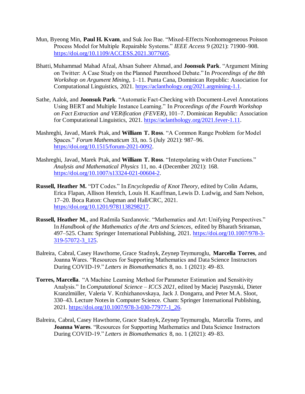- Mun, Byeong Min, **Paul H. Kvam**, and Suk Joo Bae. "Mixed-Effects Nonhomogeneous Poisson Process Model for Multiple Repairable Systems." *IEEE Access* 9 (2021): 71900–908. https://doi.org/10.1109/ACCESS.2021.3077605.
- Bhatti, Muhammad Mahad Afzal, Ahsan Suheer Ahmad, and **Joonsuk Park**. "Argument Mining on Twitter: A Case Study on the Planned Parenthood Debate." In *Proceedings of the 8th Workshop on Argument Mining*, 1–11. Punta Cana, Dominican Republic: Association for Computational Linguistics, 2021. https://aclanthology.org/2021.argmining-1.1.
- Sathe, Aalok, and **Joonsuk Park**. "Automatic Fact-Checking with Document-Level Annotations Using BERT and Multiple Instance Learning." In *Proceedings of the Fourth Workshop on Fact Extraction and VERification (FEVER)*, 101–7. Dominican Republic: Association for Computational Linguistics, 2021. https://aclanthology.org/2021.fever-1.11.
- Mashreghi, Javad, Marek Ptak, and **William T. Ross**. "A Common Range Problem for Model Spaces." *Forum Mathematicum* 33, no. 5 (July 2021): 987–96. https://doi.org/10.1515/forum-2021-0092.
- Mashreghi, Javad, Marek Ptak, and **William T. Ross**. "Interpolating with Outer Functions." *Analysis and Mathematical Physics* 11, no. 4 (December 2021): 168. https://doi.org/10.1007/s13324-021-00604-2.
- **Russell, Heather M.** "DT Codes." In *Encyclopedia of Knot Theory*, edited by Colin Adams, Erica Flapan, Allison Henrich, Louis H. Kauffman, Lewis D. Ludwig, and Sam Nelson, 17–20. Boca Raton: Chapman and Hall/CRC, 2021. https://doi.org/10.1201/9781138298217.
- **Russell, Heather M.**, and Radmila Sazdanovic. "Mathematics and Art: Unifying Perspectives." In *Handbook of the Mathematics of the Arts and Sciences*, edited by Bharath Sriraman, 497–525. Cham: Springer International Publishing, 2021. https://doi.org/10.1007/978-3-319-57072-3\_125.
- Balreira, Cabral, Casey Hawthorne, Grace Stadnyk, Zeynep Teymuroglu, **Marcella Torres**, and Joanna Wares. "Resources for Supporting Mathematics and Data Science Instructors During COVID-19." *Letters in Biomathematics* 8, no. 1 (2021): 49–83.
- **Torres, Marcella**. "A Machine Learning Method for Parameter Estimation and Sensitivity Analysis." In *Computational Science – ICCS 2021*, edited by Maciej Paszynski, Dieter Kranzlmüller, Valeria V. Krzhizhanovskaya, Jack J. Dongarra, and Peter M.A. Sloot, 330–43. Lecture Notes in Computer Science. Cham: Springer International Publishing, 2021. https://doi.org/10.1007/978-3-030-77977-1\_26.
- Balreira, Cabral, Casey Hawthorne, Grace Stadnyk, Zeynep Teymuroglu, Marcella Torres, and **Joanna Wares**. "Resources for Supporting Mathematics and Data Science Instructors During COVID-19." *Letters in Biomathematics* 8, no. 1 (2021): 49–83.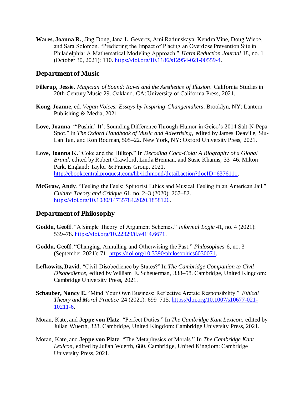**Wares, Joanna R.**, Jing Dong, Jana L. Gevertz, Ami Radunskaya, Kendra Vine, Doug Wiebe, and Sara Solomon. "Predicting the Impact of Placing an Overdose Prevention Site in Philadelphia: A Mathematical Modeling Approach." *Harm Reduction Journal* 18, no. 1 (October 30, 2021): 110. https://doi.org/10.1186/s12954-021-00559-4.

### **Department of Music**

- **Fillerup, Jessie**. *Magician of Sound: Ravel and the Aesthetics of Illusion*. California Studies in 20th-Century Music 29. Oakland, CA: University of California Press, 2021.
- **Kong, Joanne**, ed. *Vegan Voices: Essays by Inspiring Changemakers*. Brooklyn, NY: Lantern Publishing & Media, 2021.
- **Love, Joanna**. "'Pushin' It': Sounding Difference Through Humor in Geico's 2014 Salt-N-Pepa Spot." In *The Oxford Handbook of Music and Advertising*, edited by James Deaville, Siu-Lan Tan, and Ron Rodman, 505–22. New York, NY: Oxford University Press, 2021.
- **Love, Joanna K.** "Coke and the Hilltop." In *Decoding Coca-Cola: A Biography of a Global Brand*, edited by Robert Crawford, Linda Brennan, and Susie Khamis, 33–46. Milton Park, England: Taylor & Francis Group, 2021. http://ebookcentral.proquest.com/lib/richmond/detail.action?docID=6376111.
- **McGraw, Andy**. "Feeling the Feels: Spinozist Ethics and Musical Feeling in an American Jail." *Culture Theory and Critique* 61, no. 2–3 (2020): 267–82. https://doi.org/10.1080/14735784.2020.1858126.

### **Department of Philosophy**

- **Goddu, Geoff**. "A Simple Theory of Argument Schemes." *Informal Logic* 41, no. 4 (2021): 539–78. https://doi.org/10.22329/il.v41i4.6671.
- **Goddu, Geoff**. "Changing, Annulling and Otherwising the Past." *Philosophies* 6, no. 3 (September 2021): 71. https://doi.org/10.3390/philosophies6030071.
- **Lefkowitz, David**. "Civil Disobedience by States?" In *The Cambridge Companion to Civil Disobedience*, edited by William E. Scheuerman, 338–58. Cambridge, United Kingdom: Cambridge University Press, 2021.
- **Schauber, Nancy E.** "Mind Your Own Business: Reflective Aretaic Responsibility." *Ethical Theory and Moral Practice* 24 (2021): 699–715. https://doi.org/10.1007/s10677-021- 10211-6.
- Moran, Kate, and **Jeppe von Platz**. "Perfect Duties." In *The Cambridge Kant Lexicon*, edited by Julian Wuerth, 328. Cambridge, United Kingdom: Cambridge University Press, 2021.
- Moran, Kate, and **Jeppe von Platz**. "The Metaphysics of Morals." In *The Cambridge Kant Lexicon*, edited by Julian Wuerth, 680. Cambridge, United Kingdom: Cambridge University Press, 2021.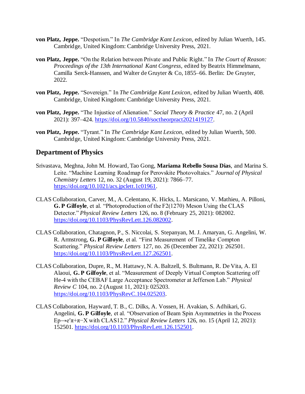- **von Platz, Jeppe.** "Despotism." In *The Cambridge Kant Lexicon*, edited by Julian Wuerth, 145. Cambridge, United Kingdom: Cambridge University Press, 2021.
- **von Platz, Jeppe.** "On the Relation between Private and Public Right." In *The Court of Reason: Proceedings of the 13th International Kant Congress*, edited by Beatrix Himmelmann, Camilla Serck-Hanssen, and Walter de Gruyter & Co, 1855–66. Berlin: De Gruyter, 2022.
- **von Platz, Jeppe.** "Sovereign." In *The Cambridge Kant Lexicon*, edited by Julian Wuerth, 408. Cambridge, United Kingdom: Cambridge University Press, 2021.
- **von Platz, Jeppe.** "The Injustice of Alienation." *Social Theory & Practice* 47, no. 2 (April 2021): 397–424. https://doi.org/10.5840/soctheorpract2021419127.
- **von Platz, Jeppe.** "Tyrant." In *The Cambridge Kant Lexicon*, edited by Julian Wuerth, 500. Cambridge, United Kingdom: Cambridge University Press, 2021.

## **Department of Physics**

- Srivastava, Meghna, John M. Howard, Tao Gong, **Mariama Rebello Sousa Dias**, and Marina S. Leite. "Machine Learning Roadmap for Perovskite Photovoltaics." *Journal of Physical Chemistry Letters* 12, no. 32 (August 19, 2021): 7866–77. https://doi.org/10.1021/acs.jpclett.1c01961.
- CLAS Collaboration, Carver, M., A. Celentano, K. Hicks, L. Marsicano, V. Mathieu, A. Pilloni, **G. P Gilfoyle**, et al. "Photoproduction of the F2(1270) Meson Using the CLAS Detector." *Physical Review Letters* 126, no. 8 (February 25, 2021): 082002. https://doi.org/10.1103/PhysRevLett.126.082002.
- CLAS Collaboration, Chatagnon, P., S. Niccolai, S. Stepanyan, M. J. Amaryan, G. Angelini, W. R. Armstrong, **G. P Gilfoyle**, et al. "First Measurement of Timelike Compton Scattering." *Physical Review Letters* 127, no. 26 (December 22, 2021): 262501. https://doi.org/10.1103/PhysRevLett.127.262501.
- CLAS Collaboration, Dupre, R., M. Hattawy, N. A. Baltzell, S. Bultmann, R. De Vita, A. El Alaoui, **G. P Gilfoyle**, et al. "Measurement of Deeply Virtual Compton Scattering off He-4 with the CEBAF Large Acceptance Spectrometer at Jefferson Lab." *Physical Review C* 104, no. 2 (August 11, 2021): 025203. https://doi.org/10.1103/PhysRevC.104.025203.
- CLAS Collaboration, Hayward, T. B., C. Dilks, A. Vossen, H. Avakian, S. Adhikari, G. Angelini, **G. P Gilfoyle**, et al. "Observation of Beam Spin Asymmetries in the Process Ep→e′π+π−X with CLAS12." *Physical Review Letters* 126, no. 15 (April 12, 2021): 152501. https://doi.org/10.1103/PhysRevLett.126.152501.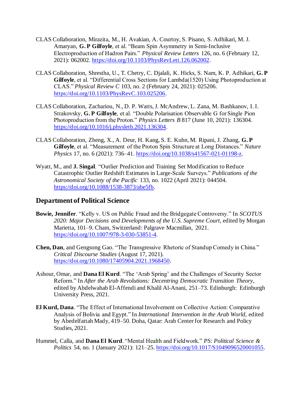- CLAS Collaboration, Mirazita, M., H. Avakian, A. Courtoy, S. Pisano, S. Adhikari, M. J. Amaryan, **G. P Gilfoyle**, et al. "Beam Spin Asymmetry in Semi-Inclusive Electroproduction of Hadron Pairs." *Physical Review Letters* 126, no. 6 (February 12, 2021): 062002. https://doi.org/10.1103/PhysRevLett.126.062002.
- CLAS Collaboration, Shrestha, U., T. Chetry, C. Djalali, K. Hicks, S. Nam, K. P. Adhikari, **G. P Gilfoyle**, et al. "Differential Cross Sections for Lambda(1520) Using Photoproduction at CLAS." *Physical Review C* 103, no. 2 (February 24, 2021): 025206. https://doi.org/10.1103/PhysRevC.103.025206.
- CLAS Collaboration, Zachariou, N., D. P. Watts, J. McAndrew, L. Zana, M. Bashkanov, I. I. Strakovsky, **G. P Gilfoyle**, et al. "Double Polarisation Observable G for Single Pion Photoproduction from the Proton." *Physics Letters B* 817 (June 10, 2021): 136304. https://doi.org/10.1016/j.physletb.2021.136304.
- CLAS Collaboration, Zheng, X., A. Deur, H. Kang, S. E. Kuhn, M. Ripani, J. Zhang, **G. P Gilfoyle**, et al. "Measurement of the Proton Spin Structure at Long Distances." *Nature Physics* 17, no. 6 (2021): 736–41. https://doi.org/10.1038/s41567-021-01198-z.
- Wyatt, M., and **J. Singal**. "Outlier Prediction and Training Set Modification to Reduce Catastrophic Outlier Redshift Estimates in Large-Scale Surveys." *Publications of the Astronomical Society of the Pacific* 133, no. 1022 (April 2021): 044504. https://doi.org/10.1088/1538-3873/abe5fb.

## **Department of Political Science**

- **Bowie, Jennifer**. "Kelly v. US on Public Fraud and the Bridgegate Controversy." In *SCOTUS 2020: Major Decisions and Developments of the U.S. Supreme Court*, edited by Morgan Marietta, 101–9. Cham, Switzerland: Palgrave Macmillan, 2021. https://doi.org/10.1007/978-3-030-53851-4.
- **Chen, Dan**, and Gengsong Gao. "The Transgressive Rhetoric of Standup Comedy in China." *Critical Discourse Studies* (August 17, 2021). https://doi.org/10.1080/17405904.2021.1968450.
- Ashour, Omar, and **Dana El Kurd**. "The 'Arab Spring' and the Challenges of Security Sector Reform." In *After the Arab Revolutions: Decentring Democratic Transition Theory*, edited by Abdelwahab El-Affendi and Khalil Al-Anani, 251–73. Edinburgh: Edinburgh University Press, 2021.
- **El Kurd, Dana**. "The Effect of International Involvement on Collective Action: Comparative Analysis of Bolivia and Egypt." In *International Intervention in the Arab World*, edited by Abedelfattah Mady, 419–50. Doha, Qatar: Arab Center for Research and Policy Studies, 2021.
- Hummel, Calla, and **Dana El Kurd**. "Mental Health and Fieldwork." *PS: Political Science & Politics* 54, no. 1 (January 2021): 121–25. https://doi.org/10.1017/S1049096520001055.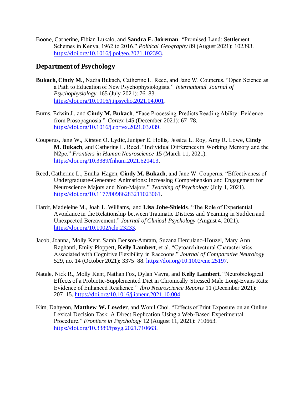Boone, Catherine, Fibian Lukalo, and **Sandra F. Joireman**. "Promised Land: Settlement Schemes in Kenya, 1962 to 2016." *Political Geography* 89 (August 2021): 102393. https://doi.org/10.1016/j.polgeo.2021.102393.

## **Department of Psychology**

- **Bukach, Cindy M.**, Nadia Bukach, Catherine L. Reed, and Jane W. Couperus. "Open Science as a Path to Education of New Psychophysiologists." *International Journal of Psychophysiology* 165 (July 2021): 76–83. https://doi.org/10.1016/j.ijpsycho.2021.04.001.
- Burns, Edwin J., and **Cindy M. Bukach**. "Face Processing Predicts Reading Ability: Evidence from Prosopagnosia." *Cortex* 145 (December 2021): 67–78. https://doi.org/10.1016/j.cortex.2021.03.039.
- Couperus, Jane W., Kirsten O. Lydic, Juniper E. Hollis, Jessica L. Roy, Amy R. Lowe, **Cindy M. Bukach**, and Catherine L. Reed. "Individual Differences in Working Memory and the N2pc." *Frontiers in Human Neuroscience* 15 (March 11, 2021). https://doi.org/10.3389/fnhum.2021.620413.
- Reed, Catherine L., Emilia Hagen, **Cindy M. Bukach**, and Jane W. Couperus. "Effectiveness of Undergraduate-Generated Animations: Increasing Comprehension and Engagement for Neuroscience Majors and Non-Majors." *Teaching of Psychology* (July 1, 2021). https://doi.org/10.1177/00986283211023061.
- Hardt, Madeleine M., Joah L. Williams, and **Lisa Jobe-Shields**. "The Role of Experiential Avoidance in the Relationship between Traumatic Distress and Yearning in Sudden and Unexpected Bereavement." *Journal of Clinical Psychology* (August 4, 2021). https://doi.org/10.1002/jclp.23233.
- Jacob, Joanna, Molly Kent, Sarah Benson-Amram, Suzana Herculano-Houzel, Mary Ann Raghanti, Emily Ploppert, **Kelly Lambert**, et al. "Cytoarchitectural Characteristics Associated with Cognitive Flexibility in Raccoons." *Journal of Comparative Neurology* 529, no. 14 (October 2021): 3375–88. https://doi.org/10.1002/cne.25197.
- Natale, Nick R., Molly Kent, Nathan Fox, Dylan Vavra, and **Kelly Lambert**. "Neurobiological Effects of a Probiotic-Supplemented Diet in Chronically Stressed Male Long-Evans Rats: Evidence of Enhanced Resilience." *Ibro Neuroscience Reports* 11 (December 2021): 207–15. https://doi.org/10.1016/j.ibneur.2021.10.004.
- Kim, Dahyeon, **Matthew W. Lowder**, and Wonil Choi. "Effects of Print Exposure on an Online Lexical Decision Task: A Direct Replication Using a Web-Based Experimental Procedure." *Frontiers in Psychology* 12 (August 11, 2021): 710663. https://doi.org/10.3389/fpsyg.2021.710663.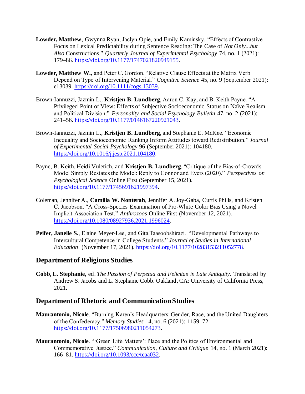- **Lowder, Matthew**, Gwynna Ryan, Jaclyn Opie, and Emily Kaminsky. "Effects of Contrastive Focus on Lexical Predictability during Sentence Reading: The Case of *Not Only...but Also* Constructions." *Quarterly Journal of Experimental Psychology* 74, no. 1 (2021): 179–86. https://doi.org/10.1177/1747021820949155.
- **Lowder, Matthew W.**, and Peter C. Gordon. "Relative Clause Effects at the Matrix Verb Depend on Type of Intervening Material." *Cognitive Science* 45, no. 9 (September 2021): e13039. https://doi.org/10.1111/cogs.13039.
- Brown-Iannuzzi, Jazmin L., **Kristjen B. Lundberg**, Aaron C. Kay, and B. Keith Payne. "A Privileged Point of View: Effects of Subjective Socioeconomic Status on Naïve Realism and Political Division:" *Personality and Social Psychology Bulletin* 47, no. 2 (2021): 241–56. https://doi.org/10.1177/0146167220921043.
- Brown-Iannuzzi, Jazmin L., **Kristjen B. Lundberg**, and Stephanie E. McKee. "Economic Inequality and Socioeconomic Ranking Inform Attitudes toward Redistribution." *Journal of Experimental Social Psychology* 96 (September 2021): 104180. https://doi.org/10.1016/j.jesp.2021.104180.
- Payne, B. Keith, Heidi Vuletich, and **Kristjen B. Lundberg**. "Critique of the Bias-of-Crowds Model Simply Restates the Model: Reply to Connor and Evers (2020)." *Perspectives on Psychological Science* Online First (September 15, 2021). https://doi.org/10.1177/1745691621997394.
- Coleman, Jennifer A., **Camilla W. Nonterah**, Jennifer A. Joy-Gaba, Curtis Phills, and Kristen C. Jacobson. "A Cross-Species Examination of Pro-White Color Bias Using a Novel Implicit Association Test." *Anthrozoos* Online First (November 12, 2021). https://doi.org/10.1080/08927936.2021.1996024.
- **Peifer, Janelle S.**, Elaine Meyer-Lee, and Gita Taasoobshirazi. "Developmental Pathways to Intercultural Competence in College Students." *Journal of Studies in International Education* (November 17, 2021). https://doi.org/10.1177/10283153211052778.

## **Department of Religious Studies**

**Cobb, L. Stephanie**, ed. *The Passion of Perpetua and Felicitas in Late Antiquity*. Translated by Andrew S. Jacobs and L. Stephanie Cobb. Oakland, CA: University of California Press, 2021.

### **Department of Rhetoric and Communication Studies**

- **Maurantonio, Nicole**. "Burning Karen's Headquarters: Gender, Race, and the United Daughters of the Confederacy." *Memory Studies* 14, no. 6 (2021): 1159–72. https://doi.org/10.1177/17506980211054273.
- **Maurantonio, Nicole**. "'Green Life Matters': Place and the Politics of Environmental and Commemorative Justice." *Communication, Culture and Critique* 14, no. 1 (March 2021): 166–81. https://doi.org/10.1093/ccc/tcaa032.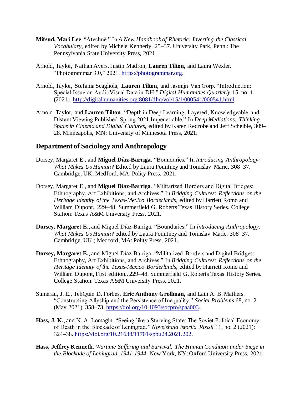- **Mifsud, Mari Lee**. "Atechnē." In *A New Handbook of Rhetoric: Inverting the Classical Vocabulary*, edited by Michele Kennerly, 25–37. University Park, Penn.: The Pennsylvania State University Press, 2021.
- Arnold, Taylor, Nathan Ayers, Justin Madron, **Lauren Tilton**, and Laura Wexler. "Photogrammar 3.0," 2021. https://photogrammar.org.
- Arnold, Taylor, Stefania Scagliola, **Lauren Tilton**, and Jasmijn Van Gorp. "Introduction: Special Issue on AudioVisual Data in DH." *Digital Humanities Quarterly* 15, no. 1 (2021). http://digitalhumanities.org:8081/dhq/vol/15/1/000541/000541.html
- Arnold, Taylor, and **Lauren Tilton**. "Depth in Deep Learning: Layered, Knowledgeable, and Distant Viewing Published Spring 2021 Impenetrable." In *Deep Mediations: Thinking Space in Cinema and Digital Cultures,* edited by Karen Redrobe and Jeff Scheible, 309– 28. Minneapolis, MN: University of Minnesota Press, 2021.

## **Department of Sociology and Anthropology**

- Dorsey, Margaret E., and **Miguel Díaz-Barriga**. "Boundaries." In *Introducing Anthropology: What Makes Us Human?* Edited by Laura Pountney and Tomislav Maric, 308–37. Cambridge, UK; Medford, MA: Polity Press, 2021.
- Dorsey, Margaret E., and **Miguel Díaz-Barriga**. "Militarized Borders and Digital Bridges: Ethnography, Art Exhibitions, and Archives." In *Bridging Cultures: Reflections on the Heritage Identity of the Texas-Mexico Borderlands,* edited by Harriett Romo and William Dupont, 229–48. Summerfield G. Roberts Texas History Series. College Station: Texas A&M University Press, 2021.
- **Dorsey, Margaret E.**, and Miguel Díaz-Barriga. "Boundaries." In *Introducing Anthropology: What Makes Us Human?* edited by Laura Pountney and Tomislav Maric, 308–37. Cambridge, UK ; Medford, MA: Polity Press, 2021.
- **Dorsey, Margaret E.**, and Miguel Díaz-Barriga. "Militarized Borders and Digital Bridges: Ethnography, Art Exhibitions, and Archives." In *Bridging Cultures: Reflections on the Heritage Identity of the Texas-Mexico Borderlands*, edited by Harriett Romo and William Dupont, First edition., 229–48. Summerfield G. Roberts Texas History Series. College Station: Texas A&M University Press, 2021.
- Sumerau, J. E., TehQuin D. Forbes, **Eric Anthony Grollman**, and Lain A. B. Mathers. "Constructing Allyship and the Persistence of Inequality." *Social Problems* 68, no. 2 (May 2021): 358–73. https://doi.org/10.1093/socpro/spaa003.
- Hass, J. K., and N. A. Lomagin. "Seeing like a Starving State: The Soviet Political Economy of Death in the Blockade of Leningrad." *Noveishaia istoriia Rossii* 11, no. 2 (2021): 324–38. https://doi.org/10.21638/11701/spbu24.2021.202.
- **Hass, Jeffrey Kenneth**. *Wartime Suffering and Survival: The Human Condition under Siege in the Blockade of Leningrad, 1941-1944*. New York, NY: Oxford University Press, 2021.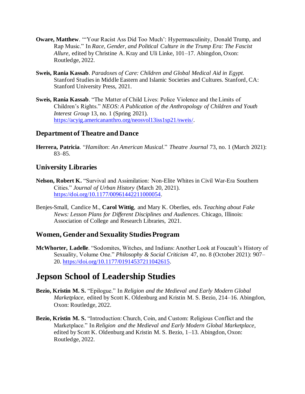- **Oware, Matthew**. "'Your Racist Ass Did Too Much': Hypermasculinity, Donald Trump, and Rap Music." In *Race, Gender, and Political Culture in the Trump Era: The Fascist Allure*, edited by Christine A. Kray and Uli Linke, 101–17. Abingdon, Oxon: Routledge, 2022.
- **Sweis, Rania Kassab**. *Paradoxes of Care: Children and Global Medical Aid in Egypt*. Stanford Studies in Middle Eastern and Islamic Societies and Cultures. Stanford, CA: Stanford University Press, 2021.
- **Sweis, Rania Kassab**. "The Matter of Child Lives: Police Violence and the Limits of Children's Rights." *NEOS: A Publication of the Anthropology of Children and Youth Interest Group* 13, no. 1 (Spring 2021). https://acyig.americananthro.org/neosvol13iss1sp21/sweis/.

## **Department of Theatre and Dance**

**Herrera, Patricia**. "*Hamilton*: *An American Musical*." *Theatre Journal* 73, no. 1 (March 2021): 83–85.

## **University Libraries**

- **Nelson, Robert K.** "Survival and Assimilation: Non-Elite Whites in Civil War-Era Southern Cities." *Journal of Urban History* (March 20, 2021). https://doi.org/10.1177/00961442211000054.
- Benjes-Small, Candice M., **Carol Wittig**, and Mary K. Oberlies, eds. *Teaching about Fake News: Lesson Plans for Different Disciplines and Audiences*. Chicago, Illinois: Association of College and Research Libraries, 2021.

## **Women, Gender and Sexuality Studies Program**

**McWhorter, Ladelle**. "Sodomites, Witches, and Indians: Another Look at Foucault's History of Sexuality, Volume One." *Philosophy & Social Criticism* 47, no. 8 (October 2021): 907– 20. https://doi.org/10.1177/01914537211042615.

## **Jepson School of Leadership Studies**

- **Bezio, Kristin M. S.** "Epilogue." In *Religion and the Medieval and Early Modern Global Marketplace*, edited by Scott K. Oldenburg and Kristin M. S. Bezio, 214–16. Abingdon, Oxon: Routledge, 2022.
- **Bezio, Kristin M. S.** "Introduction: Church, Coin, and Custom: Religious Conflict and the Marketplace." In *Religion and the Medieval and Early Modern Global Marketplace*, edited by Scott K. Oldenburg and Kristin M. S. Bezio, 1–13. Abingdon, Oxon: Routledge, 2022.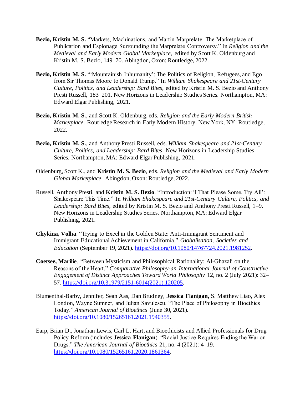- **Bezio, Kristin M. S.** "Markets, Machinations, and Martin Marprelate: The Marketplace of Publication and Espionage Surrounding the Marprelate Controversy." In *Religion and the Medieval and Early Modern Global Marketplace*, edited by Scott K. Oldenburg and Kristin M. S. Bezio, 149–70. Abingdon, Oxon: Routledge, 2022.
- **Bezio, Kristin M. S.** "'Mountainish Inhumanity': The Politics of Religion, Refugees, and Ego from Sir Thomas Moore to Donald Trump." In *William Shakespeare and 21st-Century Culture, Politics, and Leadership: Bard Bites*, edited by Kristin M. S. Bezio and Anthony Presti Russell, 183–201. New Horizons in Leadership Studies Series. Northampton, MA: Edward Elgar Publishing, 2021.
- **Bezio, Kristin M. S.**, and Scott K. Oldenburg, eds. *Religion and the Early Modern British Marketplace*. Routledge Research in Early Modern History. New York, NY: Routledge, 2022.
- **Bezio, Kristin M. S.**, and Anthony Presti Russell, eds. *William Shakespeare and 21st-Century Culture, Politics, and Leadership: Bard Bites*. New Horizons in Leadership Studies Series. Northampton, MA: Edward Elgar Publishing, 2021.
- Oldenburg, Scott K., and **Kristin M. S. Bezio**, eds. *Religion and the Medieval and Early Modern Global Marketplace*. Abingdon, Oxon: Routledge, 2022.
- Russell, Anthony Presti, and **Kristin M. S. Bezio**. "Introduction: 'I That Please Some, Try All': Shakespeare This Time." In *William Shakespeare and 21st-Century Culture, Politics, and Leadership: Bard Bites*, edited by Kristin M. S. Bezio and Anthony Presti Russell, 1–9. New Horizons in Leadership Studies Series. Northampton, MA: Edward Elgar Publishing, 2021.
- **Chykina, Volha**. "Trying to Excel in the Golden State: Anti-Immigrant Sentiment and Immigrant Educational Achievement in California." *Globalisation, Societies and Education* (September 19, 2021). https://doi.org/10.1080/14767724.2021.1981252.
- **Coetsee, Marilie**. "Between Mysticism and Philosophical Rationality: Al-Ghazali on the Reasons of the Heart." *Comparative Philosophy-an International Journal of Constructive Engagement of Distinct Approaches Toward World Philosophy* 12, no. 2 (July 2021): 32– 57. https://doi.org/10.31979/2151-6014(2021).120205.
- Blumenthal-Barby, Jennifer, Sean Aas, Dan Brudney, **Jessica Flanigan**, S. Matthew Liao, Alex London, Wayne Sumner, and Julian Savulescu. "The Place of Philosophy in Bioethics Today." *American Journal of Bioethics* (June 30, 2021). https://doi.org/10.1080/15265161.2021.1940355.
- Earp, Brian D., Jonathan Lewis, Carl L. Hart, and Bioethicists and Allied Professionals for Drug Policy Reform (includes **Jessica Flanigan**). "Racial Justice Requires Ending the War on Drugs." *The American Journal of Bioethics* 21, no. 4 (2021): 4–19. https://doi.org/10.1080/15265161.2020.1861364.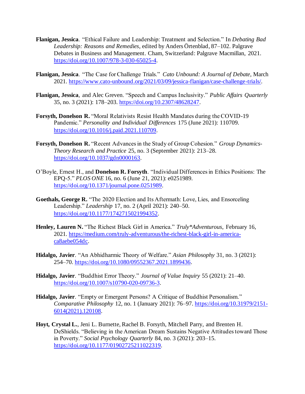- **Flanigan, Jessica**. "Ethical Failure and Leadership: Treatment and Selection." In *Debating Bad Leadership: Reasons and Remedies*, edited by Anders Örtenblad, 87–102. Palgrave Debates in Business and Management. Cham, Switzerland: Palgrave Macmillan, 2021. https://doi.org/10.1007/978-3-030-65025-4.
- **Flanigan, Jessica**. "The Case for Challenge Trials." *Cato Unbound: A Journal of Debate*, March 2021. https://www.cato-unbound.org/2021/03/09/jessica-flanigan/case-challenge-trials/.
- **Flanigan, Jessica**, and Alec Greven. "Speech and Campus Inclusivity." *Public Affairs Quarterly* 35, no. 3 (2021): 178–203. https://doi.org/10.2307/48628247.
- **Forsyth, Donelson R.** "Moral Relativists Resist Health Mandates during the COVID-19 Pandemic." *Personality and Individual Differences* 175 (June 2021): 110709. https://doi.org/10.1016/j.paid.2021.110709.
- **Forsyth, Donelson R.** "Recent Advances in the Study of Group Cohesion." *Group Dynamics-Theory Research and Practice* 25, no. 3 (September 2021): 213–28. https://doi.org/10.1037/gdn0000163.
- O'Boyle, Ernest H., and **Donelson R. Forsyth**. "Individual Differences in Ethics Positions: The EPQ-5." *PLOS ONE* 16, no. 6 (June 21, 2021): e0251989. https://doi.org/10.1371/journal.pone.0251989.
- **Goethals, George R.** "The 2020 Election and Its Aftermath: Love, Lies, and Ensorceling Leadership." *Leadership* 17, no. 2 (April 2021): 240–50. https://doi.org/10.1177/1742715021994352.
- **Henley, Lauren N.** "The Richest Black Girl in America." *Truly\*Adventurous*, February 16, 2021. https://medium.com/truly-adventurous/the-richest-black-girl-in-americaca8aebe054dc.
- **Hidalgo, Javier**. "An Abhidharmic Theory of Welfare." *Asian Philosophy* 31, no. 3 (2021): 254–70. https://doi.org/10.1080/09552367.2021.1899436.
- **Hidalgo, Javier**. "Buddhist Error Theory." *Journal of Value Inquiry* 55 (2021): 21–40. https://doi.org/10.1007/s10790-020-09736-3.
- **Hidalgo, Javier**. "Empty or Emergent Persons? A Critique of Buddhist Personalism." *Comparative Philosophy* 12, no. 1 (January 2021): 76–97. https://doi.org/10.31979/2151- 6014(2021).120108.
- **Hoyt, Crystal L.**, Jeni L. Burnette, Rachel B. Forsyth, Mitchell Parry, and Brenten H. DeShields. "Believing in the American Dream Sustains Negative Attitudes toward Those in Poverty." *Social Psychology Quarterly* 84, no. 3 (2021): 203–15. https://doi.org/10.1177/01902725211022319.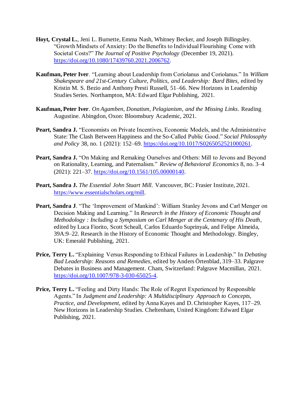- **Hoyt, Crystal L.**, Jeni L. Burnette, Emma Nash, Whitney Becker, and Joseph Billingsley. "Growth Mindsets of Anxiety: Do the Benefits to Individual Flourishing Come with Societal Costs?" *The Journal of Positive Psychology* (December 19, 2021). https://doi.org/10.1080/17439760.2021.2006762.
- **Kaufman, Peter Iver**. "Learning about Leadership from Coriolanus and Coriolanus." In *William Shakespeare and 21st-Century Culture, Politics, and Leadership: Bard Bites*, edited by Kristin M. S. Bezio and Anthony Presti Russell, 51–66. New Horizons in Leadership Studies Series. Northampton, MA: Edward Elgar Publishing, 2021.
- **Kaufman, Peter Iver**. *On Agamben, Donatism, Pelagianism, and the Missing Links*. Reading Augustine. Abingdon, Oxon: Bloomsbury Academic, 2021.
- Peart. Sandra J. "Economists on Private Incentives, Economic Models, and the Administrative State: The Clash Between Happiness and the So-Called Public Good." *Social Philosophy and Policy* 38, no. 1 (2021): 152–69. https://doi.org/10.1017/S0265052521000261.
- **Peart, Sandra J.** "On Making and Remaking Ourselves and Others: Mill to Jevons and Beyond on Rationality, Learning, and Paternalism." *Review of Behavioral Economics* 8, no. 3–4 (2021): 221–37. https://doi.org/10.1561/105.00000140.
- **Peart, Sandra J.** *The Essential John Stuart Mill*. Vancouver, BC: Frasier Institute, 2021. https://www.essentialscholars.org/mill.
- **Peart, Sandra J**. "The 'Improvement of Mankind': William Stanley Jevons and Carl Menger on Decision Making and Learning." In *Research in the History of Economic Thought and Methodology : Including a Symposium on Carl Menger at the Centenary of His Death*, edited by Luca Fiorito, Scott Scheall, Carlos Eduardo Suprinyak, and Felipe Almeida, 39A:9–22. Research in the History of Economic Thought and Methodology. Bingley, UK: Emerald Publishing, 2021.
- **Price, Terry L.** "Explaining Versus Responding to Ethical Failures in Leadership." In *Debating Bad Leadership: Reasons and Remedies*, edited by Anders Örtenblad, 319–33. Palgrave Debates in Business and Management. Cham, Switzerland: Palgrave Macmillan, 2021. https://doi.org/10.1007/978-3-030-65025-4.
- **Price, Terry L.** "Feeling and Dirty Hands: The Role of Regret Experienced by Responsible Agents." In *Judgment and Leadership: A Multidisciplinary Approach to Concepts, Practice, and Development*, edited by Anna Kayes and D. Christopher Kayes, 117–29. New Horizons in Leadership Studies. Cheltenham, United Kingdom: Edward Elgar Publishing, 2021.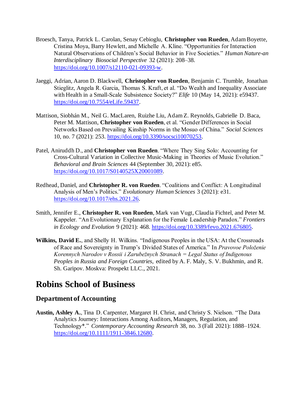- Broesch, Tanya, Patrick L. Carolan, Senay Cebioglu, **Christopher von Rueden**, Adam Boyette, Cristina Moya, Barry Hewlett, and Michelle A. Kline. "Opportunities for Interaction Natural Observations of Children's Social Behavior in Five Societies." *Human Nature-an Interdisciplinary Biosocial Perspective* 32 (2021): 208–38. https://doi.org/10.1007/s12110-021-09393-w.
- Jaeggi, Adrian, Aaron D. Blackwell, **Christopher von Rueden**, Benjamin C. Trumble, Jonathan Stieglitz, Angela R. Garcia, Thomas S. Kraft, et al. "Do Wealth and Inequality Associate with Health in a Small-Scale Subsistence Society?" *Elife* 10 (May 14, 2021): e59437. https://doi.org/10.7554/eLife.59437.
- Mattison, Siobhán M., Neil G. MacLaren, Ruizhe Liu, Adam Z. Reynolds, Gabrielle D. Baca, Peter M. Mattison, **Christopher von Rueden**, et al. "Gender Differences in Social Networks Based on Prevailing Kinship Norms in the Mosuo of China." *Social Sciences* 10, no. 7 (2021): 253. https://doi.org/10.3390/socsci10070253.
- Patel, Aniruddh D., and **Christopher von Rueden**. "Where They Sing Solo: Accounting for Cross-Cultural Variation in Collective Music-Making in Theories of Music Evolution." *Behavioral and Brain Sciences* 44 (September 30, 2021): e85. https://doi.org/10.1017/S0140525X20001089.
- Redhead, Daniel, and **Christopher R. von Rueden**. "Coalitions and Conflict: A Longitudinal Analysis of Men's Politics." *Evolutionary Human Sciences* 3 (2021): e31. https://doi.org/10.1017/ehs.2021.26.
- Smith, Jennifer E., **Christopher R. von Rueden**, Mark van Vugt, Claudia Fichtel, and Peter M. Kappeler. "An Evolutionary Explanation for the Female Leadership Paradox." *Frontiers in Ecology and Evolution* 9 (2021): 468. https://doi.org/10.3389/fevo.2021.676805.
- **Wilkins, David E.**, and Shelly H. Wilkins. "Indigenous Peoples in the USA: At the Crossroads of Race and Sovereignty in Trump's Divided States of America." In *Pravovoe Položenie Korennych Narodov v Rossii i Zarubežnych Stranach = Legal Status of Indigenous Peoples in Russia and Foreign Countries*, edited by A. F. Maly, S. V. Bukhmin, and R. Sh. Garipov. Moskva: Prospekt LLC., 2021.

## **Robins School of Business**

## **Department of Accounting**

**Austin, Ashley A.**, Tina D. Carpenter, Margaret H. Christ, and Christy S. Nielson. "The Data Analytics Journey: Interactions Among Auditors, Managers, Regulation, and Technology\*." *Contemporary Accounting Research* 38, no. 3 (Fall 2021): 1888–1924. https://doi.org/10.1111/1911-3846.12680.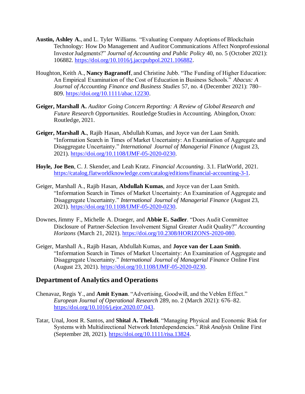- **Austin, Ashley A.**, and L. Tyler Williams. "Evaluating Company Adoptions of Blockchain Technology: How Do Management and Auditor Communications Affect Nonprofessional Investor Judgments?" *Journal of Accounting and Public Policy* 40, no. 5 (October 2021): 106882. https://doi.org/10.1016/j.jaccpubpol.2021.106882.
- Houghton, Keith A., **Nancy Bagranoff**, and Christine Jubb. "The Funding of Higher Education: An Empirical Examination of the Cost of Education in Business Schools." *Abacus: A Journal of Accounting Finance and Business Studies* 57, no. 4 (December 2021): 780– 809. https://doi.org/10.1111/abac.12230.
- **Geiger, Marshall A.** *Auditor Going Concern Reporting: A Review of Global Research and Future Research Opportunities*. Routledge Studies in Accounting. Abingdon, Oxon: Routledge, 2021.
- **Geiger, Marshall A.**, Rajib Hasan, Abdullah Kumas, and Joyce van der Laan Smith. "Information Search in Times of Market Uncertainty: An Examination of Aggregate and Disaggregate Uncertainty." *International Journal of Managerial Finance* (August 23, 2021). https://doi.org/10.1108/IJMF-05-2020-0230.
- **Hoyle, Joe Ben**, C. J. Skender, and Leah Kratz. *Financial Accounting*. 3.1. FlatWorld, 2021. https://catalog.flatworldknowledge.com/catalog/editions/financial-accounting-3-1.
- Geiger, Marshall A., Rajib Hasan, **Abdullah Kumas**, and Joyce van der Laan Smith. "Information Search in Times of Market Uncertainty: An Examination of Aggregate and Disaggregate Uncertainty." *International Journal of Managerial Finance* (August 23, 2021). https://doi.org/10.1108/IJMF-05-2020-0230.
- Downes, Jimmy F., Michelle A. Draeger, and **Abbie E. Sadler**. "Does Audit Committee Disclosure of Partner-Selection Involvement Signal Greater Audit Quality?" *Accounting Horizons* (March 21, 2021). https://doi.org/10.2308/HORIZONS-2020-080.
- Geiger, Marshall A., Rajib Hasan, Abdullah Kumas, and **Joyce van der Laan Smith**. "Information Search in Times of Market Uncertainty: An Examination of Aggregate and Disaggregate Uncertainty." *International Journal of Managerial Finance* Online First (August 23, 2021). https://doi.org/10.1108/IJMF-05-2020-0230.

## **Department of Analytics and Operations**

- Chenavaz, Regis Y., and **Amit Eynan**. "Advertising, Goodwill, and the Veblen Effect." *European Journal of Operational Research* 289, no. 2 (March 2021): 676–82. https://doi.org/10.1016/j.ejor.2020.07.043.
- Tatar, Unal, Joost R. Santos, and **Shital A. Thekdi**. "Managing Physical and Economic Risk for Systems with Multidirectional Network Interdependencies." *Risk Analysis* Online First (September 28, 2021). https://doi.org/10.1111/risa.13824.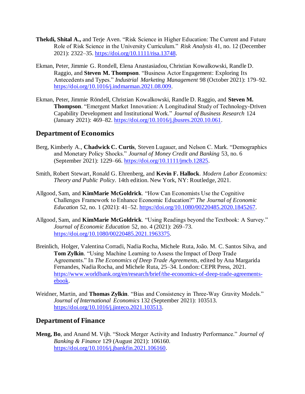- **Thekdi, Shital A.,** and Terje Aven. "Risk Science in Higher Education: The Current and Future Role of Risk Science in the University Curriculum." *Risk Analysis* 41, no. 12 (December 2021): 2322–35. https://doi.org/10.1111/risa.13748.
- Ekman, Peter, Jimmie G. Rondell, Elena Anastasiadou, Christian Kowalkowski, Randle D. Raggio, and **Steven M. Thompson**. "Business Actor Engagement: Exploring Its Antecedents and Types." *Industrial Marketing Management* 98 (October 2021): 179–92. https://doi.org/10.1016/j.indmarman.2021.08.009.
- Ekman, Peter, Jimmie Röndell, Christian Kowalkowski, Randle D. Raggio, and **Steven M. Thompson**. "Emergent Market Innovation: A Longitudinal Study of Technology-Driven Capability Development and Institutional Work." *Journal of Business Research* 124 (January 2021): 469–82. https://doi.org/10.1016/j.jbusres.2020.10.061.

### **Department of Economics**

- Berg, Kimberly A., **Chadwick C. Curtis**, Steven Lugauer, and Nelson C. Mark. "Demographics and Monetary Policy Shocks." *Journal of Money Credit and Banking* 53, no. 6 (September 2021): 1229–66. https://doi.org/10.1111/jmcb.12825.
- Smith, Robert Stewart, Ronald G. Ehrenberg, and **Kevin F. Hallock**. *Modern Labor Economics: Theory and Public Policy*. 14th edition. New York, NY: Routledge, 2021.
- Allgood, Sam, and **KimMarie McGoldrick**. "How Can Economists Use the Cognitive Challenges Framework to Enhance Economic Education?" *The Journal of Economic Education* 52, no. 1 (2021): 41–52. https://doi.org/10.1080/00220485.2020.1845267.
- Allgood, Sam, and **KimMarie McGoldrick**. "Using Readings beyond the Textbook: A Survey." *Journal of Economic Education* 52, no. 4 (2021): 269–73. https://doi.org/10.1080/00220485.2021.1963375.
- Breinlich, Holger, Valentina Corradi, Nadia Rocha, Michele Ruta, João. M. C. Santos Silva, and **Tom Zylkin**. "Using Machine Learning to Assess the Impact of Deep Trade Agreements." In *The Economics of Deep Trade Agreements*, edited by Ana Margarida Fernandes, Nadia Rocha, and Michele Ruta, 25–34. London: CEPR Press, 2021. https://www.worldbank.org/en/research/brief/the-economics-of-deep-trade-agreementsebook.
- Weidner, Martin, and **Thomas Zylkin**. "Bias and Consistency in Three-Way Gravity Models." *Journal of International Economics* 132 (September 2021): 103513. https://doi.org/10.1016/j.jinteco.2021.103513.

#### **Department of Finance**

**Meng, Bo**, and Anand M. Vijh. "Stock Merger Activity and Industry Performance." *Journal of Banking & Finance* 129 (August 2021): 106160. https://doi.org/10.1016/j.jbankfin.2021.106160.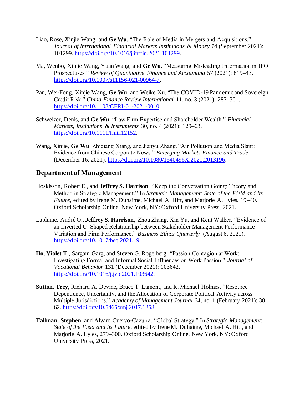- Liao, Rose, Xinjie Wang, and **Ge Wu**. "The Role of Media in Mergers and Acquisitions." *Journal of International Financial Markets Institutions & Money* 74 (September 2021): 101299. https://doi.org/10.1016/j.intfin.2021.101299.
- Ma, Wenbo, Xinjie Wang, Yuan Wang, and **Ge Wu**. "Measuring Misleading Information in IPO Prospectuses." *Review of Quantitative Finance and Accounting* 57 (2021): 819–43. https://doi.org/10.1007/s11156-021-00964-7.
- Pan, Wei-Fong, Xinjie Wang, **Ge Wu**, and Weike Xu. "The COVID-19 Pandemic and Sovereign Credit Risk." *China Finance Review International* 11, no. 3 (2021): 287–301. https://doi.org/10.1108/CFRI-01-2021-0010.
- Schweizer, Denis, and **Ge Wu**. "Law Firm Expertise and Shareholder Wealth." *Financial Markets, Institutions & Instruments* 30, no. 4 (2021): 129–63. https://doi.org/10.1111/fmii.12152.
- Wang, Xinjie, **Ge Wu**, Zhiqiang Xiang, and Jianyu Zhang. "Air Pollution and Media Slant: Evidence from Chinese Corporate News." *Emerging Markets Finance and Trade* (December 16, 2021). https://doi.org/10.1080/1540496X.2021.2013196.

## **Department of Management**

- Hoskisson, Robert E., and **Jeffrey S. Harrison**. "Keep the Conversation Going: Theory and Method in Strategic Management." In *Strategic Management: State of the Field and Its Future*, edited by Irene M. Duhaime, Michael A. Hitt, and Marjorie A. Lyles, 19–40. Oxford Scholarship Online. New York, NY: Oxford University Press, 2021.
- Laplume, André O., **Jeffrey S. Harrison**, Zhou Zhang, Xin Yu, and Kent Walker. "Evidence of an Inverted U–Shaped Relationship between Stakeholder Management Performance Variation and Firm Performance." *Business Ethics Quarterly* (August 6, 2021). https://doi.org/10.1017/beq.2021.19.
- **Ho, Violet T.**, Sargam Garg, and Steven G. Rogelberg. "Passion Contagion at Work: Investigating Formal and Informal Social Influences on Work Passion." *Journal of Vocational Behavior* 131 (December 2021): 103642. https://doi.org/10.1016/j.jvb.2021.103642.
- **Sutton, Trey**, Richard A. Devine, Bruce T. Lamont, and R. Michael Holmes. "Resource Dependence, Uncertainty, and the Allocation of Corporate Political Activity across Multiple Jurisdictions." *Academy of Management Journal* 64, no. 1 (February 2021): 38– 62. https://doi.org/10.5465/amj.2017.1258.
- **Tallman, Stephen**, and Alvaro Cuervo-Cazurra. "Global Strategy." In *Strategic Management: State of the Field and Its Future*, edited by Irene M. Duhaime, Michael A. Hitt, and Marjorie A. Lyles, 279–300. Oxford Scholarship Online. New York, NY: Oxford University Press, 2021.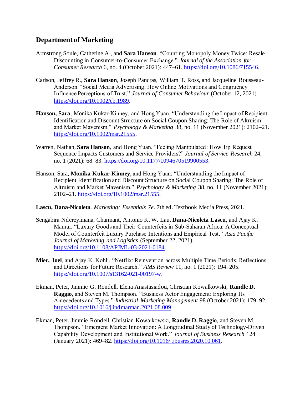## **Department of Marketing**

- Armstrong Soule, Catherine A., and **Sara Hanson**. "Counting Monopoly Money Twice: Resale Discounting in Consumer-to-Consumer Exchange." *Journal of the Association for Consumer Research* 6, no. 4 (October 2021): 447–61. https://doi.org/10.1086/715546.
- Carlson, Jeffrey R., **Sara Hanson**, Joseph Pancras, William T. Ross, and Jacqueline Rousseau-Anderson. "Social Media Advertising: How Online Motivations and Congruency Influence Perceptions of Trust." *Journal of Consumer Behaviour* (October 12, 2021). https://doi.org/10.1002/cb.1989.
- **Hanson, Sara**, Monika Kukar-Kinney, and Hong Yuan. "Understanding the Impact of Recipient Identification and Discount Structure on Social Coupon Sharing: The Role of Altruism and Market Mavenism." *Psychology & Marketing* 38, no. 11 (November 2021): 2102–21. https://doi.org/10.1002/mar.21555.
- Warren, Nathan, **Sara Hanson**, and Hong Yuan. "Feeling Manipulated: How Tip Request Sequence Impacts Customers and Service Providers?" *Journal of Service Research* 24, no. 1 (2021): 68–83. https://doi.org/10.1177/1094670519900553.
- Hanson, Sara, **Monika Kukar-Kinney**, and Hong Yuan. "Understanding the Impact of Recipient Identification and Discount Structure on Social Coupon Sharing: The Role of Altruism and Market Mavenism." *Psychology & Marketing* 38, no. 11 (November 2021): 2102–21. https://doi.org/10.1002/mar.21555.
- **Lascu, Dana-Nicoleta**. *Marketing: Essentials 7e*. 7th ed. Textbook Media Press, 2021.
- Sengabira Ndereyimana, Charmant, Antonio K. W. Lau, **Dana-Nicoleta Lascu**, and Ajay K. Manrai. "Luxury Goods and Their Counterfeits in Sub-Saharan Africa: A Conceptual Model of Counterfeit Luxury Purchase Intentions and Empirical Test." *Asia Pacific Journal of Marketing and Logistics* (September 22, 2021). https://doi.org/10.1108/APJML-03-2021-0184.
- **Mier, Joel**, and Ajay K. Kohli. "Netflix: Reinvention across Multiple Time Periods, Reflections and Directions for Future Research." *AMS Review* 11, no. 1 (2021): 194–205. https://doi.org/10.1007/s13162-021-00197-w.
- Ekman, Peter, Jimmie G. Rondell, Elena Anastasiadou, Christian Kowalkowski, **Randle D. Raggio**, and Steven M. Thompson. "Business Actor Engagement: Exploring Its Antecedents and Types." *Industrial Marketing Management* 98 (October 2021): 179–92. https://doi.org/10.1016/j.indmarman.2021.08.009.
- Ekman, Peter, Jimmie Röndell, Christian Kowalkowski, **Randle D. Raggio**, and Steven M. Thompson. "Emergent Market Innovation: A Longitudinal Study of Technology-Driven Capability Development and Institutional Work." *Journal of Business Research* 124 (January 2021): 469–82. https://doi.org/10.1016/j.jbusres.2020.10.061.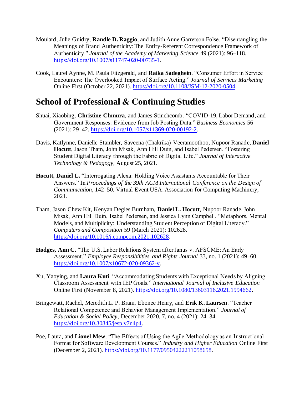- Moulard, Julie Guidry, **Randle D. Raggio**, and Judith Anne Garretson Folse. "Disentangling the Meanings of Brand Authenticity: The Entity-Referent Correspondence Framework of Authenticity." *Journal of the Academy of Marketing Science* 49 (2021): 96–118. https://doi.org/10.1007/s11747-020-00735-1.
- Cook, Laurel Aynne, M. Paula Fitzgerald, and **Raika Sadeghein**. "Consumer Effort in Service Encounters: The Overlooked Impact of Surface Acting." *Journal of Services Marketing* Online First (October 22, 2021). https://doi.org/10.1108/JSM-12-2020-0504.

## **School of Professional & Continuing Studies**

- Shuai, Xiaobing, **Christine Chmura**, and James Stinchcomb. "COVID-19, Labor Demand, and Government Responses: Evidence from Job Posting Data." *Business Economics* 56 (2021): 29–42. https://doi.org/10.1057/s11369-020-00192-2.
- Davis, Katlynne, Danielle Stambler, Saveena (Chakrika) Veeramoothoo, Nupoor Ranade, **Daniel Hocutt**, Jason Tham, John Misak, Ann Hill Duin, and Isabel Pedersen. "Fostering Student Digital Literacy through the Fabric of Digital Life." *Journal of Interactive Technology & Pedagogy*, August 25, 2021.
- **Hocutt, Daniel L.** "Interrogating Alexa: Holding Voice Assistants Accountable for Their Answers." In *Proceedings of the 39th ACM International Conference on the Design of Communication*, 142–50. Virtual Event USA: Association for Computing Machinery, 2021.
- Tham, Jason Chew Kit, Kenyan Degles Burnham, **Daniel L. Hocutt**, Nupoor Ranade, John Misak, Ann Hill Duin, Isabel Pedersen, and Jessica Lynn Campbell. "Metaphors, Mental Models, and Multiplicity: Understanding Student Perception of Digital Literacy." *Computers and Composition* 59 (March 2021): 102628. https://doi.org/10.1016/j.compcom.2021.102628.
- **Hodges, Ann C.** "The U.S. Labor Relations System after Janus v. AFSCME: An Early Assessment." *Employee Responsibilities and Rights Journal* 33, no. 1 (2021): 49–60. https://doi.org/10.1007/s10672-020-09362-y.
- Xu, Yaoying, and **Laura Kuti**. "Accommodating Students with Exceptional Needs by Aligning Classroom Assessment with IEP Goals." *International Journal of Inclusive Education* Online First (November 8, 2021). https://doi.org/10.1080/13603116.2021.1994662.
- Bringewatt, Rachel, Meredith L. P. Bram, Ebonee Henry, and **Erik K. Laursen**. "Teacher Relational Competence and Behavior Management Implementation." *Journal of Education & Social Policy*, December 2020, 7, no. 4 (2021): 24–34. https://doi.org/10.30845/jesp.v7n4p4.
- Poe, Laura, and **Lionel Mew**. "The Effects of Using the Agile Methodology as an Instructional Format for Software Development Courses." *Industry and Higher Education* Online First (December 2, 2021). https://doi.org/10.1177/09504222211058658.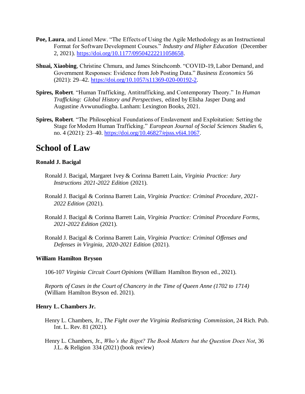- **Poe, Laura**, and Lionel Mew. "The Effects of Using the Agile Methodology as an Instructional Format for Software Development Courses." *Industry and Higher Education* (December 2, 2021). https://doi.org/10.1177/09504222211058658.
- **Shuai, Xiaobing**, Christine Chmura, and James Stinchcomb. "COVID-19, Labor Demand, and Government Responses: Evidence from Job Posting Data." *Business Economics* 56 (2021): 29–42. https://doi.org/10.1057/s11369-020-00192-2.
- **Spires, Robert**. "Human Trafficking, Antitrafficking, and Contemporary Theory." In *Human Trafficking: Global History and Perspectives*, edited by Elisha Jasper Dung and Augustine Avwunudiogba. Lanham: Lexington Books, 2021.
- **Spires, Robert**. "The Philosophical Foundations of Enslavement and Exploitation: Setting the Stage for Modern Human Trafficking." *European Journal of Social Sciences Studies* 6, no. 4 (2021): 23–40. https://doi.org/10.46827/ejsss.v6i4.1067.

## **School of Law**

#### **Ronald J. Bacigal**

- Ronald J. Bacigal, Margaret Ivey & Corinna Barrett Lain, *Virginia Practice: Jury Instructions 2021-2022 Edition* (2021).
- Ronald J. Bacigal & Corinna Barrett Lain, *Virginia Practice: Criminal Procedure, 2021- 2022 Edition* (2021).
- Ronald J. Bacigal & Corinna Barrett Lain, *Virginia Practice: Criminal Procedure Forms, 2021-2022 Edition* (2021).
- Ronald J. Bacigal & Corinna Barrett Lain, *Virginia Practice: Criminal Offenses and Defenses in Virginia, 2020-2021 Edition* (2021).

#### **William Hamilton Bryson**

106-107 *Virginia Circuit Court Opinions* (William Hamilton Bryson ed., 2021).

*Reports of Cases in the Court of Chancery in the Time of Queen Anne (1702 to 1714)* (William Hamilton Bryson ed. 2021).

#### **Henry L. Chambers Jr.**

- Henry L. Chambers, Jr., *The Fight over the Virginia Redistricting Commission*, 24 Rich. Pub. Int. L. Rev*.* 81 (2021).
- Henry L. Chambers, Jr., *Who's the Bigot? The Book Matters but the Question Does Not*, 36 J.L. & Religion 334 (2021) (book review)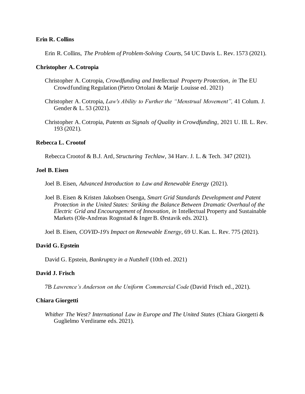#### **Erin R. Collins**

Erin R. Collins, *The Problem of Problem-Solving Courts*, 54 UC Davis L. Rev. 1573 (2021).

#### **Christopher A. Cotropia**

- Christopher A. Cotropia, *Crowdfunding and Intellectual Property Protection*, *in* The EU Crowdfunding Regulation (Pietro Ortolani & Marije Louisse ed. 2021)
- Christopher A. Cotropia, *Law's Ability to Further the "Menstrual Movement",* 41 Colum. J. Gender & L. 53 (2021).
- Christopher A. Cotropia, *Patents as Signals of Quality in Crowdfunding*, 2021 U. Ill. L. Rev. 193 (2021).

#### **Rebecca L. Crootof**

Rebecca Crootof & B.J. Ard, *Structuring Techlaw*, 34 Harv. J. L. & Tech. 347 (2021).

#### **Joel B. Eisen**

Joel B. Eisen, *Advanced Introduction to Law and Renewable Energy* (2021).

Joel B. Eisen & Kristen Jakobsen Osenga, *Smart Grid Standards Development and Patent Protection in the United States: Striking the Balance Between Dramatic Overhaul of the Electric Grid and Encouragement of Innovation*, *in* Intellectual Property and Sustainable Markets (Ole-Andreas Rognstad & Inger B. Ørstavik eds. 2021).

Joel B. Eisen, *COVID-19's Impact on Renewable Energy*, 69 U. Kan. L. Rev. 775 (2021).

#### **David G. Epstein**

David G. Epstein, *Bankruptcy in a Nutshell* (10th ed. 2021)

#### **David J. Frisch**

7B *Lawrence's Anderson on the Uniform Commercial Code* (David Frisch ed., 2021).

#### **Chiara Giorgetti**

*Whither The West? International Law in Europe and The United States* (Chiara Giorgetti & Guglielmo Verdirame eds. 2021).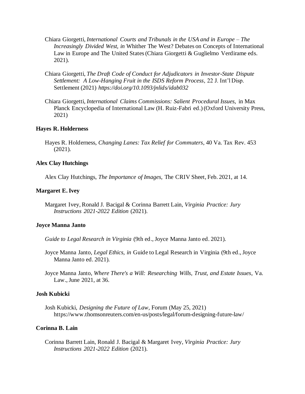- Chiara Giorgetti, *International Courts and Tribunals in the USA and in Europe – The Increasingly Divided West, in* Whither The West? Debates on Concepts of International Law in Europe and The United States (Chiara Giorgetti & Guglielmo Verdirame eds. 2021).
- Chiara Giorgetti, *The Draft Code of Conduct for Adjudicators in Investor-State Dispute Settlement: A Low-Hanging Fruit in the ISDS Reform Process*, 22 J. Int'l Disp. Settlement (2021) *https://doi.org/10.1093/jnlids/idab032*
- Chiara Giorgetti, *International Claims Commissions: Salient Procedural Issues,* in Max Planck Encyclopedia of International Law (H. Ruiz-Fabri ed.) (Oxford University Press, 2021)

#### **Hayes R. Holderness**

Hayes R. Holderness, *Changing Lanes: Tax Relief for Commuters*, 40 Va. Tax Rev. 453 (2021).

#### **Alex Clay Hutchings**

Alex Clay Hutchings, *The Importance of Images,* The CRIV Sheet, Feb. 2021, at 14.

#### **Margaret E. Ivey**

Margaret Ivey, Ronald J. Bacigal & Corinna Barrett Lain, *Virginia Practice: Jury Instructions 2021-2022 Edition* (2021).

#### **Joyce Manna Janto**

- *Guide to Legal Research in Virginia* (9th ed., Joyce Manna Janto ed. 2021).
- Joyce Manna Janto, *Legal Ethics, in* Guide to Legal Research in Virginia (9th ed., Joyce Manna Janto ed. 2021).
- Joyce Manna Janto, *Where There's a Will: Researching Wills, Trust, and Estate Issues*, Va. Law., June 2021, at 36.

#### **Josh Kubicki**

Josh Kubicki, *Designing the Future of Law*, Forum (May 25, 2021) https://www.thomsonreuters.com/en-us/posts/legal/forum-designing-future-law/

#### **Corinna B. Lain**

Corinna Barrett Lain, Ronald J. Bacigal & Margaret Ivey, *Virginia Practice: Jury Instructions 2021-2022 Edition* (2021).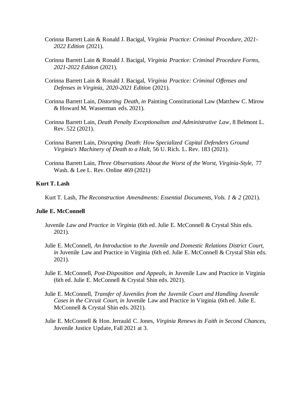- Corinna Barrett Lain & Ronald J. Bacigal, *Virginia Practice: Criminal Procedure, 2021- 2022 Edition* (2021).
- Corinna Barrett Lain & Ronald J. Bacigal, *Virginia Practice: Criminal Procedure Forms, 2021-2022 Edition* (2021).
- Corinna Barrett Lain & Ronald J. Bacigal, *Virginia Practice: Criminal Offenses and Defenses in Virginia, 2020-2021 Edition* (2021).
- Corinna Barrett Lain, *Distorting Death, in* Painting Constitutional Law (Matthew C. Mirow & Howard M. Wasserman eds. 2021).
- Corinna Barrett Lain, *Death Penalty Exceptionalism and Administrative Law*, 8 Belmont L. Rev. 522 (2021).
- Corinna Barrett Lain, *Disrupting Death: How Specialized Capital Defenders Ground Virginia's Machinery of Death to a Halt*, 56 U. Rich. L. Rev. 183 (2021).
- Corinna Barrett Lain, *Three Observations About the Worst of the Worst, Virginia-Style*, 77 Wash. & Lee L. Rev. Online 469 (2021)

#### **Kurt T. Lash**

Kurt T. Lash, *The Reconstruction Amendments: Essential Documents, Vols. 1 & 2* (2021).

#### **Julie E. McConnell**

- Juvenile *Law and Practice in Virginia* (6th ed. Julie E. McConnell & Crystal Shin eds. 2021).
- Julie E. McConnell, *An Introduction to the Juvenile and Domestic Relations District Court, in Juvenile Law and Practice in Virginia (6th ed. Julie E. McConnell & Crystal Shin eds.* 2021).
- Julie E. McConnell, *Post-Disposition and Appeals, in* Juvenile Law and Practice in Virginia (6th ed. Julie E. McConnell & Crystal Shin eds. 2021).
- Julie E. McConnell, *Transfer of Juveniles from the Juvenile Court and Handling Juvenile Cases in the Circuit Court, in* Juvenile Law and Practice in Virginia (6th ed. Julie E. McConnell & Crystal Shin eds. 2021).
- Julie E. McConnell & Hon. Jerrauld C. Jones, *Virginia Renews its Faith in Second Chances,*  Juvenile Justice Update*,* Fall 2021 at 3.